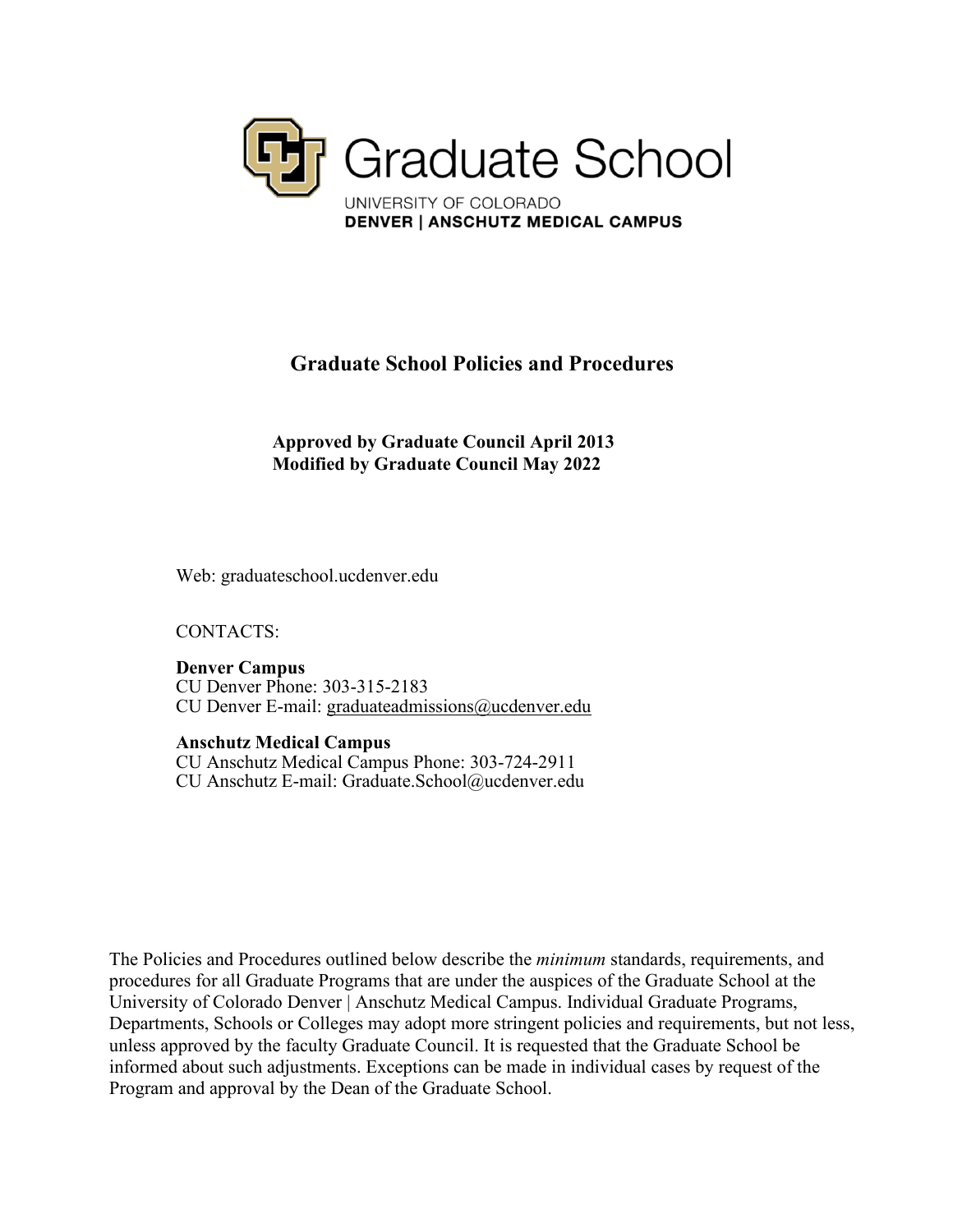

# **Graduate School Policies and Procedures**

**Approved by Graduate Council April 2013 Modified by Graduate Council May 2022**

Web: graduateschool.ucdenver.edu

CONTACTS:

**Denver Campus** CU Denver Phone: 303-315-2183 CU Denver E-mail: [graduateadmissions@ucdenver.edu](mailto:graduateadmissions@ucdenver.edu)

**Anschutz Medical Campus**

CU Anschutz Medical Campus Phone: 303-724-2911 CU Anschutz E-mail: [Graduate.School@ucdenver.edu](mailto:Graduate.School@ucdenver.edu)

The Policies and Procedures outlined below describe the *minimum* standards, requirements, and procedures for all Graduate Programs that are under the auspices of the Graduate School at the University of Colorado Denver | Anschutz Medical Campus. Individual Graduate Programs, Departments, Schools or Colleges may adopt more stringent policies and requirements, but not less, unless approved by the faculty Graduate Council. It is requested that the Graduate School be informed about such adjustments. Exceptions can be made in individual cases by request of the Program and approval by the Dean of the Graduate School.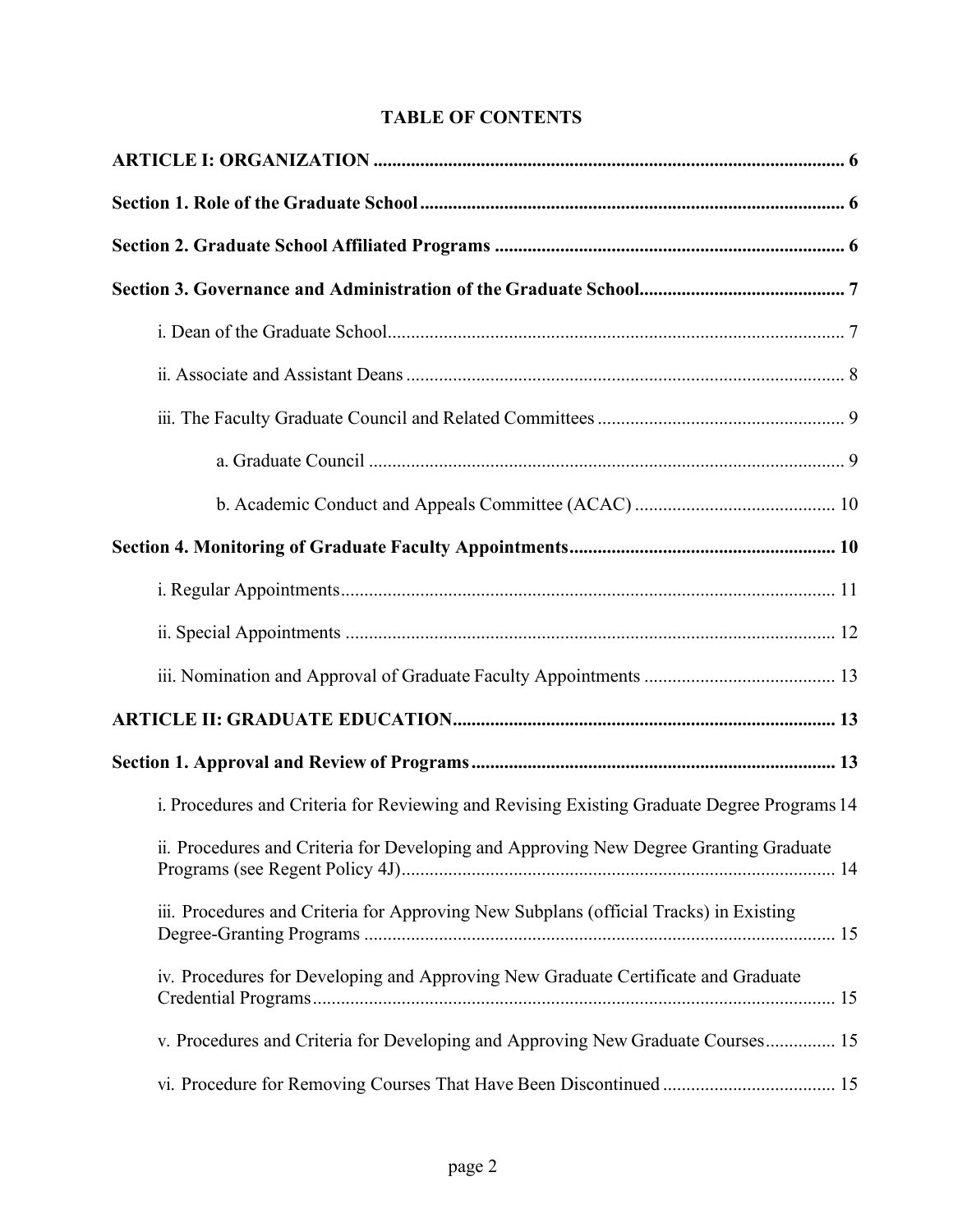# **TABLE OF CONTENTS**

| i. Procedures and Criteria for Reviewing and Revising Existing Graduate Degree Programs 14 |  |
|--------------------------------------------------------------------------------------------|--|
| ii. Procedures and Criteria for Developing and Approving New Degree Granting Graduate      |  |
| iii. Procedures and Criteria for Approving New Subplans (official Tracks) in Existing      |  |
| iv. Procedures for Developing and Approving New Graduate Certificate and Graduate          |  |
| v. Procedures and Criteria for Developing and Approving New Graduate Courses 15            |  |
|                                                                                            |  |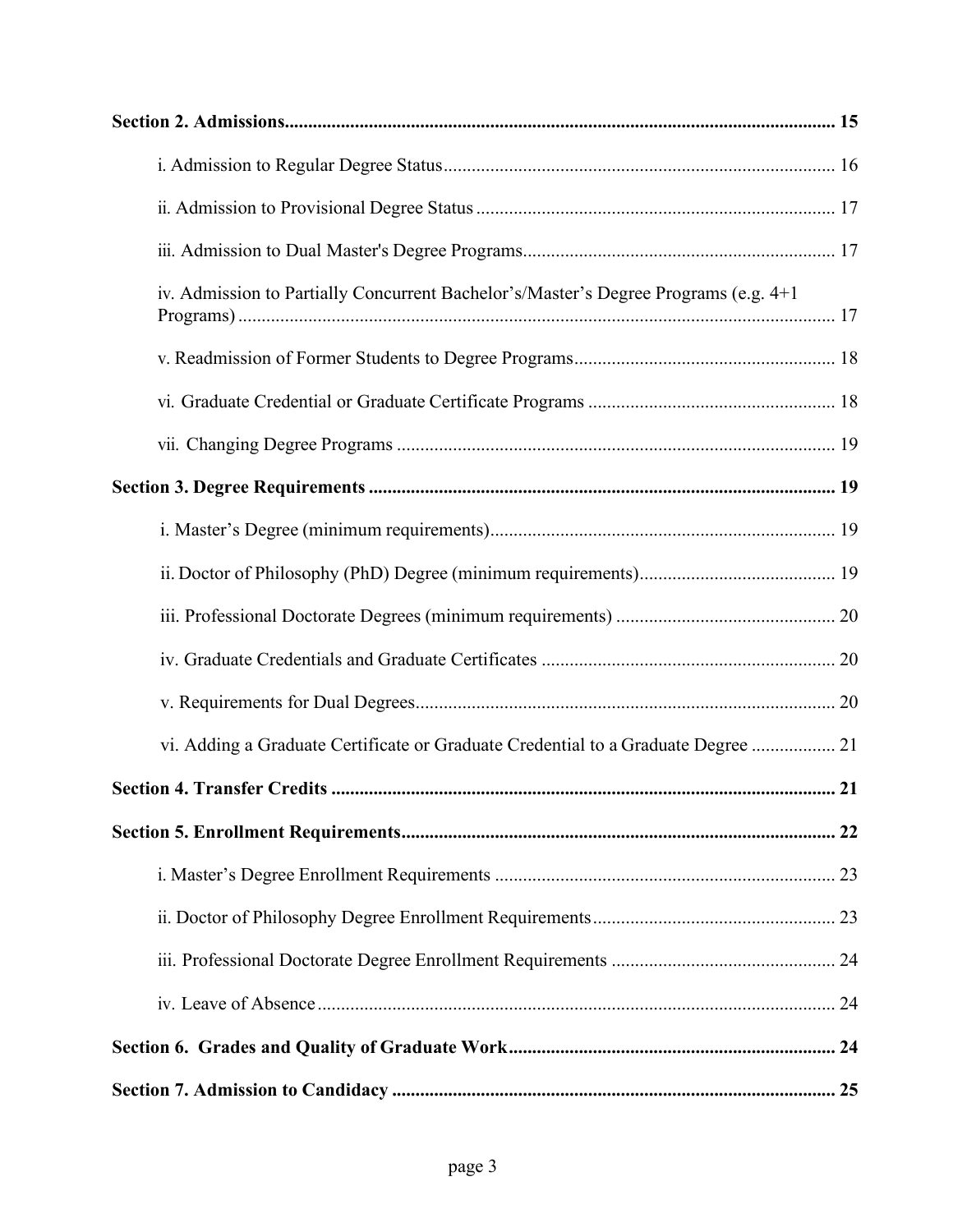| iv. Admission to Partially Concurrent Bachelor's/Master's Degree Programs (e.g. 4+1) |  |
|--------------------------------------------------------------------------------------|--|
|                                                                                      |  |
|                                                                                      |  |
|                                                                                      |  |
|                                                                                      |  |
|                                                                                      |  |
|                                                                                      |  |
|                                                                                      |  |
|                                                                                      |  |
|                                                                                      |  |
| vi. Adding a Graduate Certificate or Graduate Credential to a Graduate Degree  21    |  |
|                                                                                      |  |
|                                                                                      |  |
|                                                                                      |  |
|                                                                                      |  |
|                                                                                      |  |
|                                                                                      |  |
|                                                                                      |  |
|                                                                                      |  |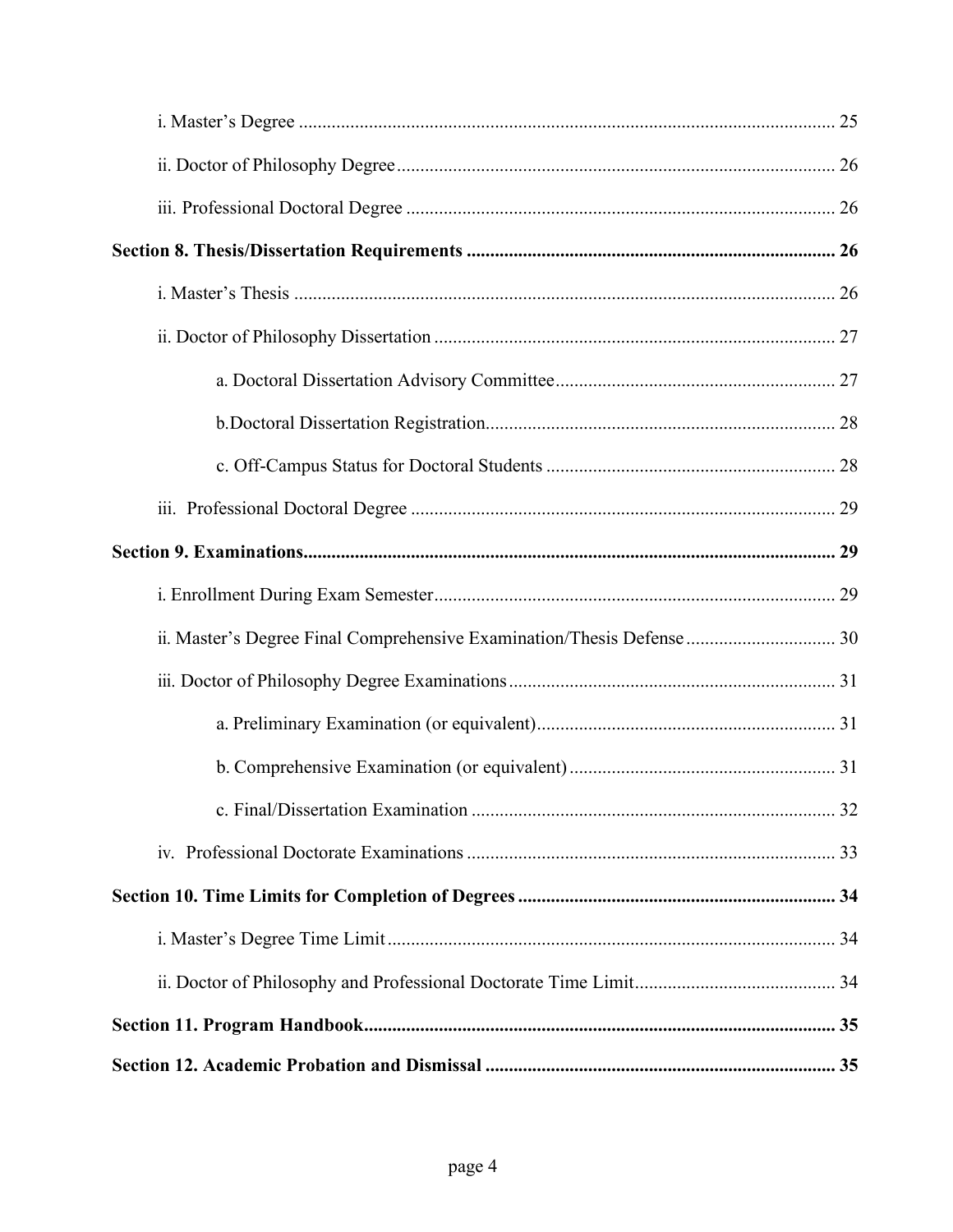| ii. Master's Degree Final Comprehensive Examination/Thesis Defense  30 |  |
|------------------------------------------------------------------------|--|
|                                                                        |  |
|                                                                        |  |
|                                                                        |  |
|                                                                        |  |
|                                                                        |  |
|                                                                        |  |
|                                                                        |  |
|                                                                        |  |
|                                                                        |  |
|                                                                        |  |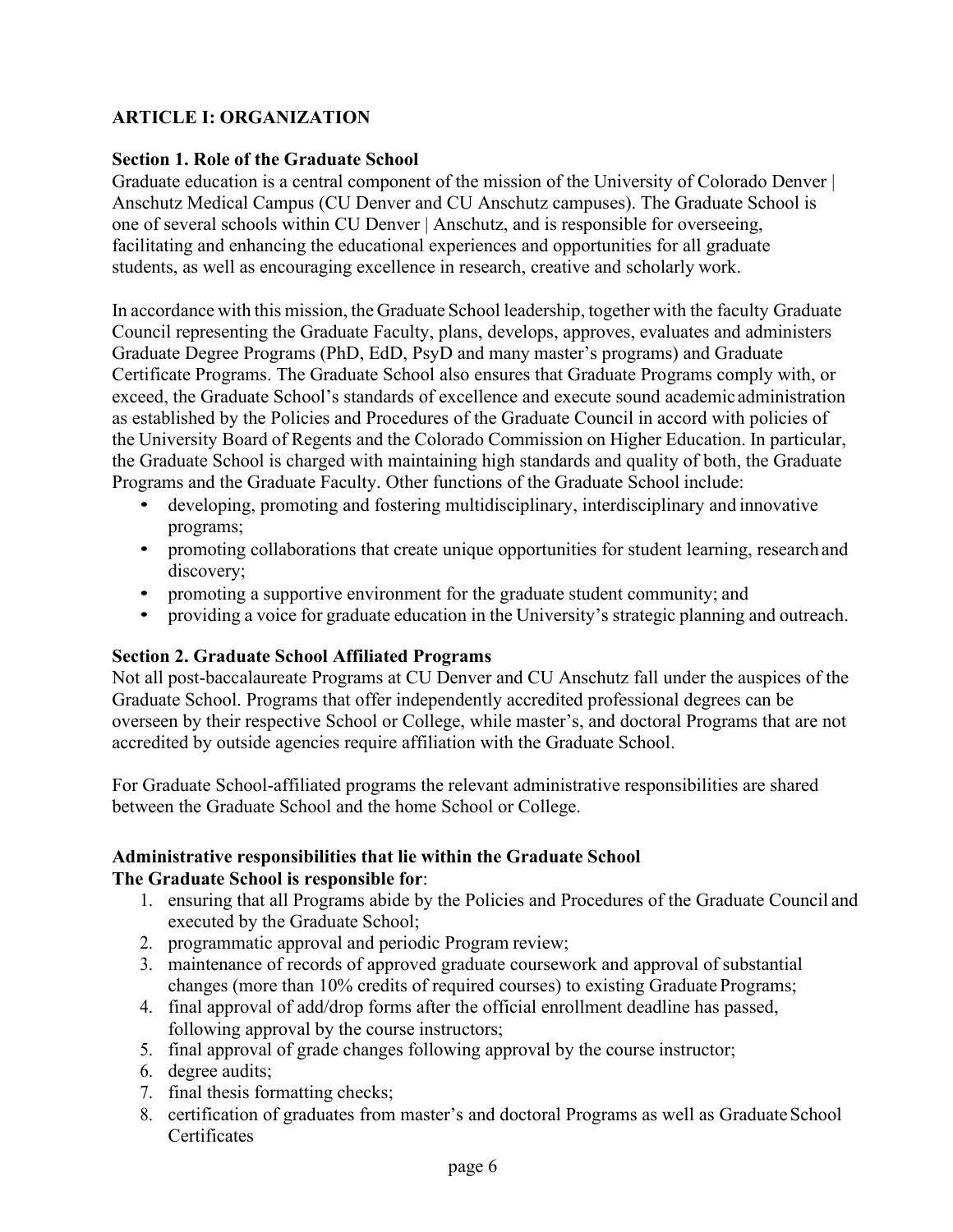# <span id="page-5-0"></span>**ARTICLE I: ORGANIZATION**

#### <span id="page-5-1"></span>**Section 1. Role of the Graduate School**

Graduate education is a central component of the mission of the University of Colorado Denver | Anschutz Medical Campus (CU Denver and CU Anschutz campuses). The Graduate School is one of several schools within CU Denver | Anschutz, and is responsible for overseeing, facilitating and enhancing the educational experiences and opportunities for all graduate students, as well as encouraging excellence in research, creative and scholarly work.

In accordance with this mission, the Graduate School leadership, together with the faculty Graduate Council representing the Graduate Faculty, plans, develops, approves, evaluates and administers Graduate Degree Programs (PhD, EdD, PsyD and many master's programs) and Graduate Certificate Programs. The Graduate School also ensures that Graduate Programs comply with, or exceed, the Graduate School's standards of excellence and execute sound academic administration as established by the Policies and Procedures of the Graduate Council in accord with policies of the University Board of Regents and the Colorado Commission on Higher Education. In particular, the Graduate School is charged with maintaining high standards and quality of both, the Graduate Programs and the Graduate Faculty. Other functions of the Graduate School include:

- developing, promoting and fostering multidisciplinary, interdisciplinary and innovative programs;
- promoting collaborations that create unique opportunities for student learning, research and discovery;
- promoting a supportive environment for the graduate student community; and
- providing a voice for graduate education in the University's strategic planning and outreach.

## <span id="page-5-2"></span>**Section 2. Graduate School Affiliated Programs**

Not all post-baccalaureate Programs at CU Denver and CU Anschutz fall under the auspices of the Graduate School. Programs that offer independently accredited professional degrees can be overseen by their respective School or College, while master's, and doctoral Programs that are not accredited by outside agencies require affiliation with the Graduate School.

For Graduate School-affiliated programs the relevant administrative responsibilities are shared between the Graduate School and the home School or College.

## **Administrative responsibilities that lie within the Graduate School The Graduate School is responsible for**:

- 1. ensuring that all Programs abide by the Policies and Procedures of the Graduate Council and executed by the Graduate School;
- 2. programmatic approval and periodic Program review;
- 3. maintenance of records of approved graduate coursework and approval of substantial changes (more than 10% credits of required courses) to existing Graduate Programs;
- 4. final approval of add/drop forms after the official enrollment deadline has passed, following approval by the course instructors;
- 5. final approval of grade changes following approval by the course instructor;
- 6. degree audits;
- 7. final thesis formatting checks;
- 8. certification of graduates from master's and doctoral Programs as well as Graduate School **Certificates**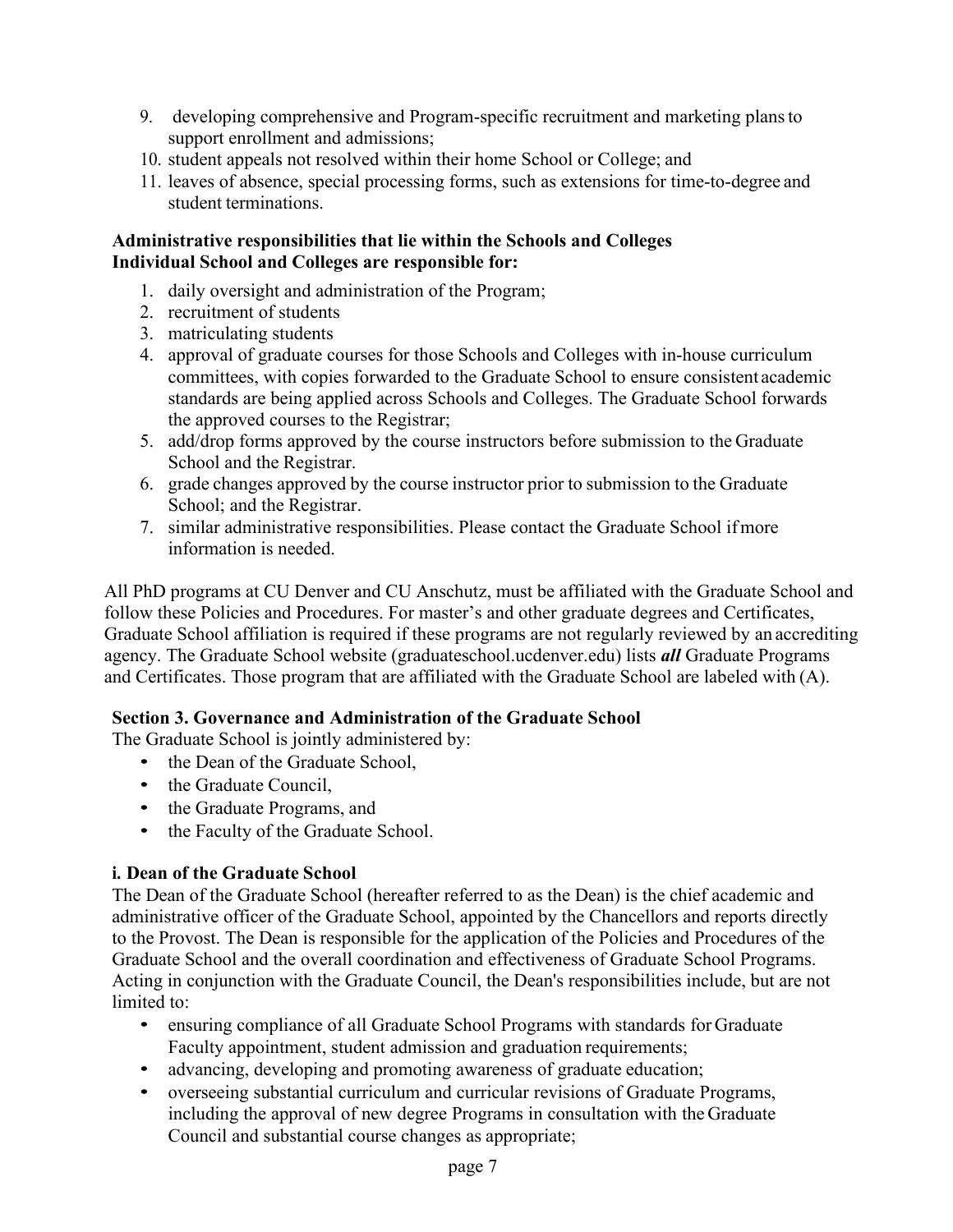- 9. developing comprehensive and Program-specific recruitment and marketing plansto support enrollment and admissions;
- 10. student appeals not resolved within their home School or College; and
- 11. leaves of absence, special processing forms, such as extensions for time-to-degree and student terminations.

## **Administrative responsibilities that lie within the Schools and Colleges Individual School and Colleges are responsible for:**

- 1. daily oversight and administration of the Program;
- 2. recruitment of students
- 3. matriculating students
- 4. approval of graduate courses for those Schools and Colleges with in-house curriculum committees, with copies forwarded to the Graduate School to ensure consistent academic standards are being applied across Schools and Colleges. The Graduate School forwards the approved courses to the Registrar;
- 5. add/drop forms approved by the course instructors before submission to the Graduate School and the Registrar.
- 6. grade changes approved by the course instructor prior to submission to the Graduate School; and the Registrar.
- 7. similar administrative responsibilities. Please contact the Graduate School ifmore information is needed.

All PhD programs at CU Denver and CU Anschutz, must be affiliated with the Graduate School and follow these Policies and Procedures. For master's and other graduate degrees and Certificates, Graduate School affiliation is required if these programs are not regularly reviewed by an accrediting agency. The Graduate School website (graduateschool.ucdenver.edu) lists *all* Graduate Programs and Certificates. Those program that are affiliated with the Graduate School are labeled with (A).

# <span id="page-6-0"></span>**Section 3. Governance and Administration of the Graduate School**

The Graduate School is jointly administered by:

- the Dean of the Graduate School,
- the Graduate Council.
- the Graduate Programs, and
- the Faculty of the Graduate School.

## <span id="page-6-1"></span>**i. Dean of the Graduate School**

The Dean of the Graduate School (hereafter referred to as the Dean) is the chief academic and administrative officer of the Graduate School, appointed by the Chancellors and reports directly to the Provost. The Dean is responsible for the application of the Policies and Procedures of the Graduate School and the overall coordination and effectiveness of Graduate School Programs. Acting in conjunction with the Graduate Council, the Dean's responsibilities include, but are not limited to:

- ensuring compliance of all Graduate School Programs with standards for Graduate Faculty appointment, student admission and graduation requirements;
- advancing, developing and promoting awareness of graduate education;
- overseeing substantial curriculum and curricular revisions of Graduate Programs, including the approval of new degree Programs in consultation with the Graduate Council and substantial course changes as appropriate;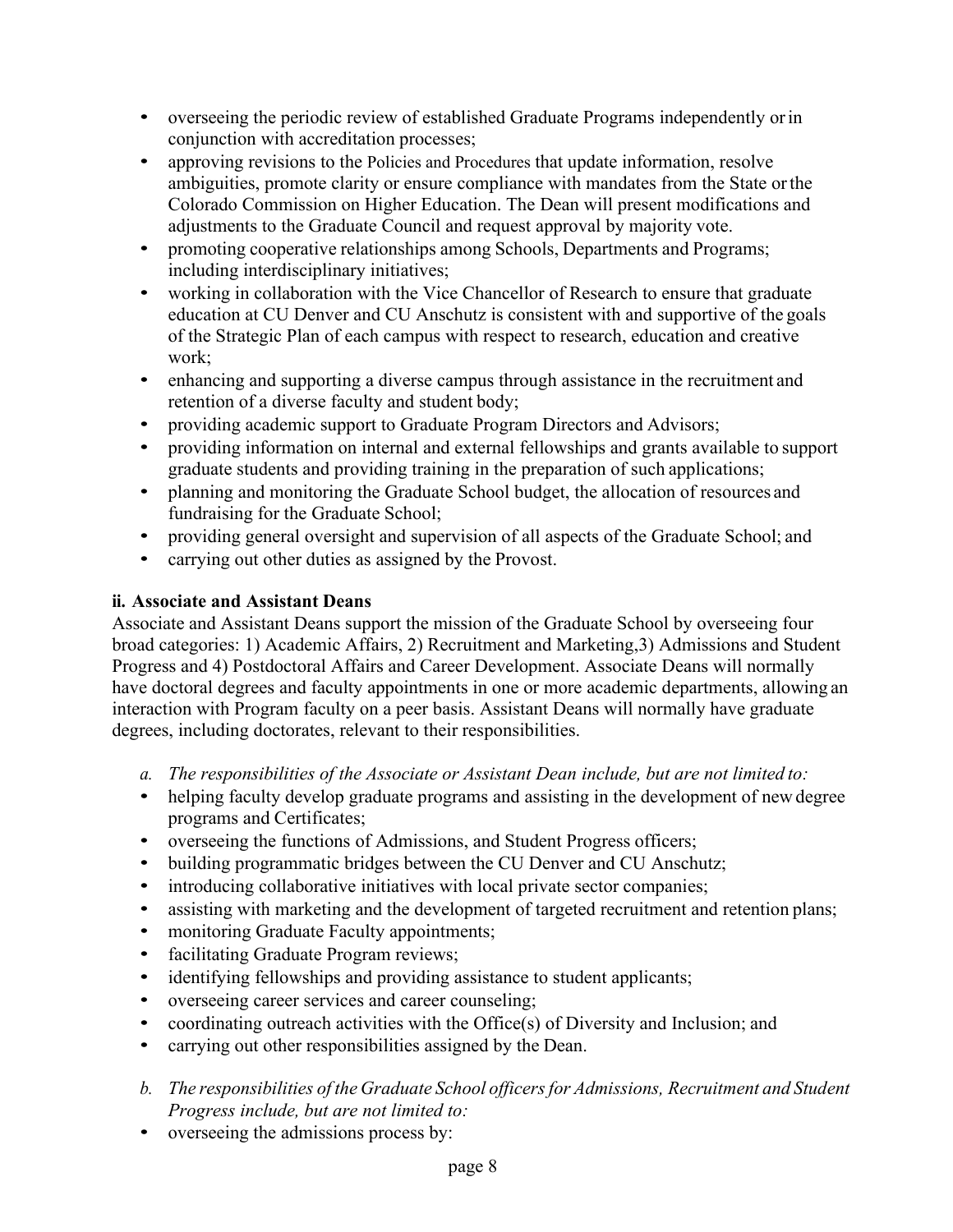- overseeing the periodic review of established Graduate Programs independently or in conjunction with accreditation processes;
- approving revisions to the Policies and Procedures that update information, resolve ambiguities, promote clarity or ensure compliance with mandates from the State orthe Colorado Commission on Higher Education. The Dean will present modifications and adjustments to the Graduate Council and request approval by majority vote.
- promoting cooperative relationships among Schools, Departments and Programs; including interdisciplinary initiatives;
- working in collaboration with the Vice Chancellor of Research to ensure that graduate education at CU Denver and CU Anschutz is consistent with and supportive of the goals of the Strategic Plan of each campus with respect to research, education and creative work;
- enhancing and supporting a diverse campus through assistance in the recruitment and retention of a diverse faculty and student body;
- providing academic support to Graduate Program Directors and Advisors;
- providing information on internal and external fellowships and grants available to support graduate students and providing training in the preparation of such applications;
- planning and monitoring the Graduate School budget, the allocation of resources and fundraising for the Graduate School;
- providing general oversight and supervision of all aspects of the Graduate School; and
- carrying out other duties as assigned by the Provost.

# <span id="page-7-0"></span>**ii. Associate and Assistant Deans**

Associate and Assistant Deans support the mission of the Graduate School by overseeing four broad categories: 1) Academic Affairs, 2) Recruitment and Marketing,3) Admissions and Student Progress and 4) Postdoctoral Affairs and Career Development. Associate Deans will normally have doctoral degrees and faculty appointments in one or more academic departments, allowing an interaction with Program faculty on a peer basis. Assistant Deans will normally have graduate degrees, including doctorates, relevant to their responsibilities.

- *a. The responsibilities of the Associate or Assistant Dean include, but are not limited to:*
- helping faculty develop graduate programs and assisting in the development of new degree programs and Certificates;
- overseeing the functions of Admissions, and Student Progress officers;
- building programmatic bridges between the CU Denver and CU Anschutz;
- introducing collaborative initiatives with local private sector companies;
- assisting with marketing and the development of targeted recruitment and retention plans;
- monitoring Graduate Faculty appointments;
- facilitating Graduate Program reviews;
- identifying fellowships and providing assistance to student applicants;
- overseeing career services and career counseling;
- coordinating outreach activities with the Office(s) of Diversity and Inclusion; and
- carrying out other responsibilities assigned by the Dean.
- *b. The responsibilities of the Graduate School officersfor Admissions, Recruitment and Student Progress include, but are not limited to:*
- overseeing the admissions process by: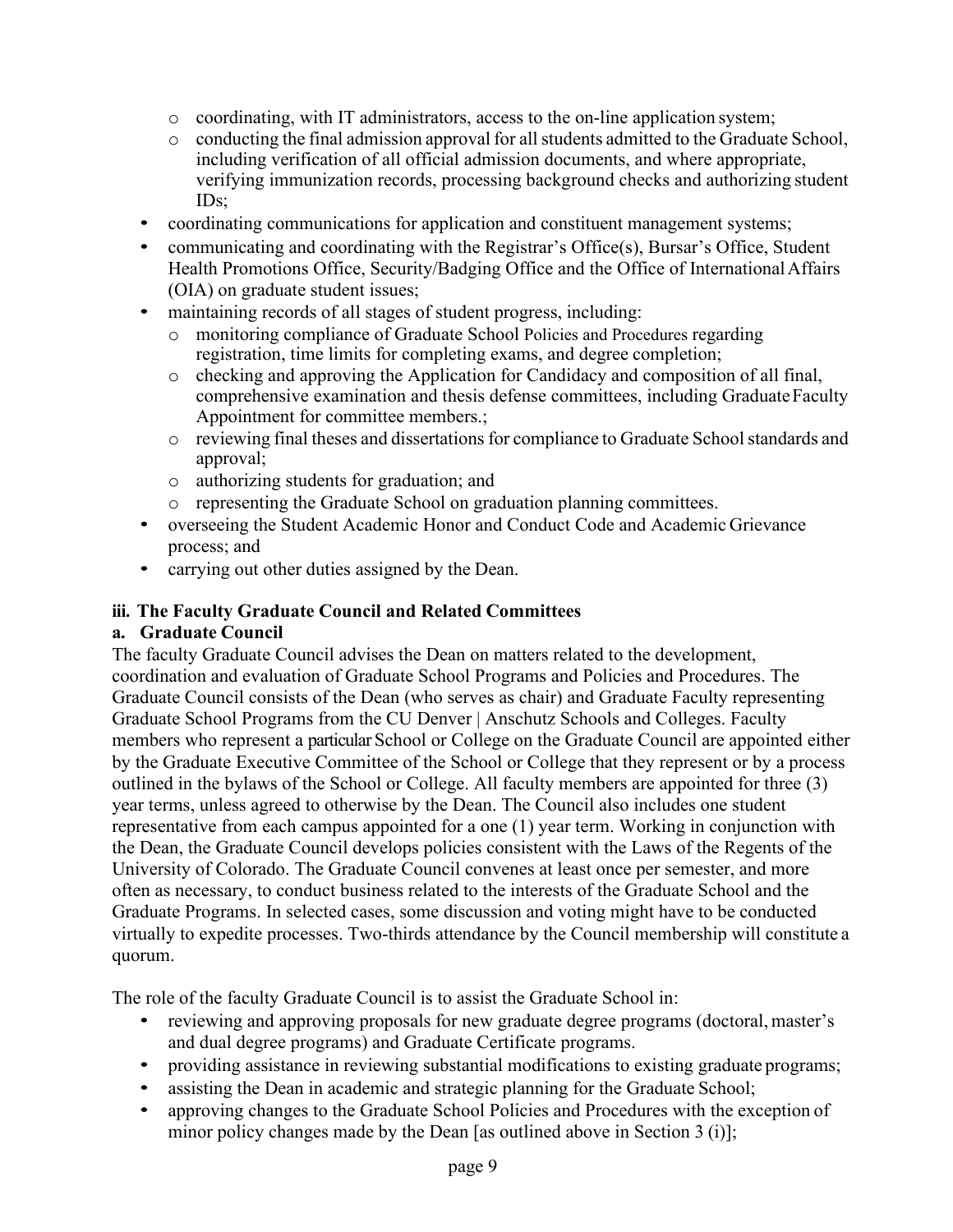- $\circ$  coordinating, with IT administrators, access to the on-line application system;
- $\circ$  conducting the final admission approval for all students admitted to the Graduate School, including verification of all official admission documents, and where appropriate, verifying immunization records, processing background checks and authorizing student IDs;
- coordinating communications for application and constituent management systems;
- communicating and coordinating with the Registrar's Office(s), Bursar's Office, Student Health Promotions Office, Security/Badging Office and the Office of International Affairs (OIA) on graduate student issues;
- maintaining records of all stages of student progress, including:
	- o monitoring compliance of Graduate School Policies and Procedures regarding registration, time limits for completing exams, and degree completion;
	- o checking and approving the Application for Candidacy and composition of all final, comprehensive examination and thesis defense committees, including Graduate Faculty Appointment for committee members.;
	- o reviewing final theses and dissertationsfor compliance to Graduate Schoolstandards and approval;
	- o authorizing students for graduation; and
	- o representing the Graduate School on graduation planning committees.
- overseeing the Student Academic Honor and Conduct Code and Academic Grievance process; and
- carrying out other duties assigned by the Dean.

# <span id="page-8-0"></span>**iii. The Faculty Graduate Council and Related Committees**

## <span id="page-8-1"></span>**a. Graduate Council**

The faculty Graduate Council advises the Dean on matters related to the development, coordination and evaluation of Graduate School Programs and Policies and Procedures. The Graduate Council consists of the Dean (who serves as chair) and Graduate Faculty representing Graduate School Programs from the CU Denver | Anschutz Schools and Colleges. Faculty members who represent a particular School or College on the Graduate Council are appointed either by the Graduate Executive Committee of the School or College that they represent or by a process outlined in the bylaws of the School or College. All faculty members are appointed for three (3) year terms, unless agreed to otherwise by the Dean. The Council also includes one student representative from each campus appointed for a one (1) year term. Working in conjunction with the Dean, the Graduate Council develops policies consistent with the Laws of the Regents of the University of Colorado. The Graduate Council convenes at least once per semester, and more often as necessary, to conduct business related to the interests of the Graduate School and the Graduate Programs. In selected cases, some discussion and voting might have to be conducted virtually to expedite processes. Two-thirds attendance by the Council membership will constitute a quorum.

The role of the faculty Graduate Council is to assist the Graduate School in:

- reviewing and approving proposals for new graduate degree programs (doctoral, master's and dual degree programs) and Graduate Certificate programs.
- providing assistance in reviewing substantial modifications to existing graduate programs;
- assisting the Dean in academic and strategic planning for the Graduate School;
- approving changes to the Graduate School Policies and Procedures with the exception of minor policy changes made by the Dean [as outlined above in Section 3 (i)];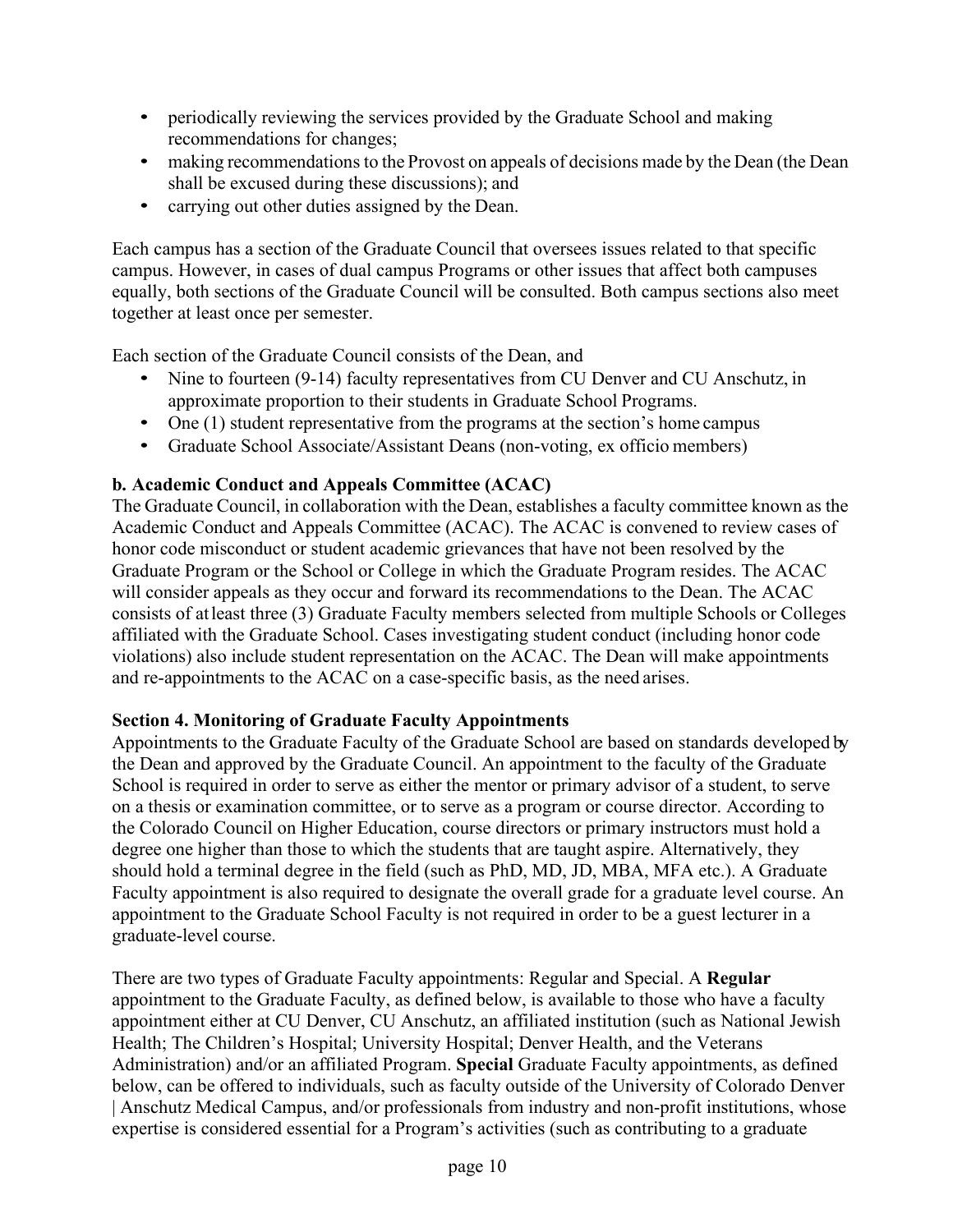- periodically reviewing the services provided by the Graduate School and making recommendations for changes;
- making recommendations to the Provost on appeals of decisions made by the Dean (the Dean shall be excused during these discussions); and
- carrying out other duties assigned by the Dean.

Each campus has a section of the Graduate Council that oversees issues related to that specific campus. However, in cases of dual campus Programs or other issues that affect both campuses equally, both sections of the Graduate Council will be consulted. Both campus sections also meet together at least once per semester.

Each section of the Graduate Council consists of the Dean, and

- Nine to fourteen (9-14) faculty representatives from CU Denver and CU Anschutz, in approximate proportion to their students in Graduate School Programs.
- One (1) student representative from the programs at the section's home campus
- Graduate School Associate/Assistant Deans (non-voting, ex officio members)

# <span id="page-9-0"></span>**b. Academic Conduct and Appeals Committee (ACAC)**

The Graduate Council, in collaboration with the Dean, establishes a faculty committee known as the Academic Conduct and Appeals Committee (ACAC). The ACAC is convened to review cases of honor code misconduct or student academic grievances that have not been resolved by the Graduate Program or the School or College in which the Graduate Program resides. The ACAC will consider appeals as they occur and forward its recommendations to the Dean. The ACAC consists of atleast three (3) Graduate Faculty members selected from multiple Schools or Colleges affiliated with the Graduate School. Cases investigating student conduct (including honor code violations) also include student representation on the ACAC. The Dean will make appointments and re-appointments to the ACAC on a case-specific basis, as the need arises.

## <span id="page-9-1"></span>**Section 4. Monitoring of Graduate Faculty Appointments**

Appointments to the Graduate Faculty of the Graduate School are based on standards developed by the Dean and approved by the Graduate Council. An appointment to the faculty of the Graduate School is required in order to serve as either the mentor or primary advisor of a student, to serve on a thesis or examination committee, or to serve as a program or course director. According to the Colorado Council on Higher Education, course directors or primary instructors must hold a degree one higher than those to which the students that are taught aspire. Alternatively, they should hold a terminal degree in the field (such as PhD, MD, JD, MBA, MFA etc.). A Graduate Faculty appointment is also required to designate the overall grade for a graduate level course. An appointment to the Graduate School Faculty is not required in order to be a guest lecturer in a graduate-level course.

There are two types of Graduate Faculty appointments: Regular and Special. A **Regular**  appointment to the Graduate Faculty, as defined below, is available to those who have a faculty appointment either at CU Denver, CU Anschutz, an affiliated institution (such as National Jewish Health; The Children's Hospital; University Hospital; Denver Health, and the Veterans Administration) and/or an affiliated Program. **Special** Graduate Faculty appointments, as defined below, can be offered to individuals, such as faculty outside of the University of Colorado Denver | Anschutz Medical Campus, and/or professionals from industry and non-profit institutions, whose expertise is considered essential for a Program's activities (such as contributing to a graduate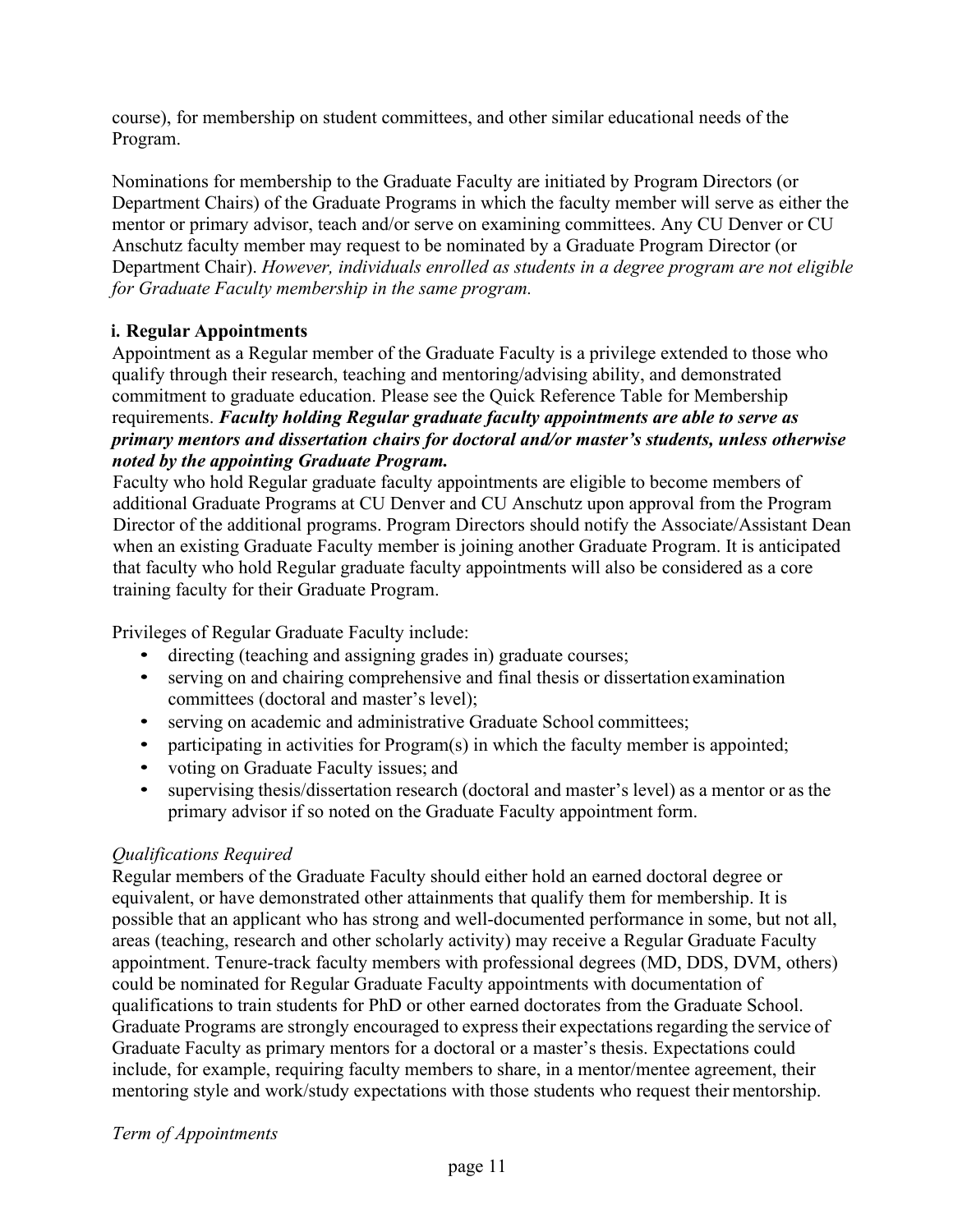course), for membership on student committees, and other similar educational needs of the Program.

Nominations for membership to the Graduate Faculty are initiated by Program Directors (or Department Chairs) of the Graduate Programs in which the faculty member will serve as either the mentor or primary advisor, teach and/or serve on examining committees. Any CU Denver or CU Anschutz faculty member may request to be nominated by a Graduate Program Director (or Department Chair). *However, individuals enrolled as students in a degree program are not eligible for Graduate Faculty membership in the same program.*

## <span id="page-10-0"></span>**i. Regular Appointments**

Appointment as a Regular member of the Graduate Faculty is a privilege extended to those who qualify through their research, teaching and mentoring/advising ability, and demonstrated commitment to graduate education. Please see the Quick Reference Table for Membership requirements. *Faculty holding Regular graduate faculty appointments are able to serve as primary mentors and dissertation chairs for doctoral and/or master's students, unless otherwise noted by the appointing Graduate Program.*

Faculty who hold Regular graduate faculty appointments are eligible to become members of additional Graduate Programs at CU Denver and CU Anschutz upon approval from the Program Director of the additional programs. Program Directors should notify the Associate/Assistant Dean when an existing Graduate Faculty member is joining another Graduate Program. It is anticipated that faculty who hold Regular graduate faculty appointments will also be considered as a core training faculty for their Graduate Program.

Privileges of Regular Graduate Faculty include:

- directing (teaching and assigning grades in) graduate courses;
- serving on and chairing comprehensive and final thesis or dissertation examination committees (doctoral and master's level);
- serving on academic and administrative Graduate School committees;
- participating in activities for Program(s) in which the faculty member is appointed;
- voting on Graduate Faculty issues; and
- supervising thesis/dissertation research (doctoral and master's level) as a mentor or as the primary advisor if so noted on the Graduate Faculty appointment form.

#### *Qualifications Required*

Regular members of the Graduate Faculty should either hold an earned doctoral degree or equivalent, or have demonstrated other attainments that qualify them for membership. It is possible that an applicant who has strong and well-documented performance in some, but not all, areas (teaching, research and other scholarly activity) may receive a Regular Graduate Faculty appointment. Tenure-track faculty members with professional degrees (MD, DDS, DVM, others) could be nominated for Regular Graduate Faculty appointments with documentation of qualifications to train students for PhD or other earned doctorates from the Graduate School. Graduate Programs are strongly encouraged to express their expectations regarding the service of Graduate Faculty as primary mentors for a doctoral or a master's thesis. Expectations could include, for example, requiring faculty members to share, in a mentor/mentee agreement, their mentoring style and work/study expectations with those students who request their mentorship.

#### *Term of Appointments*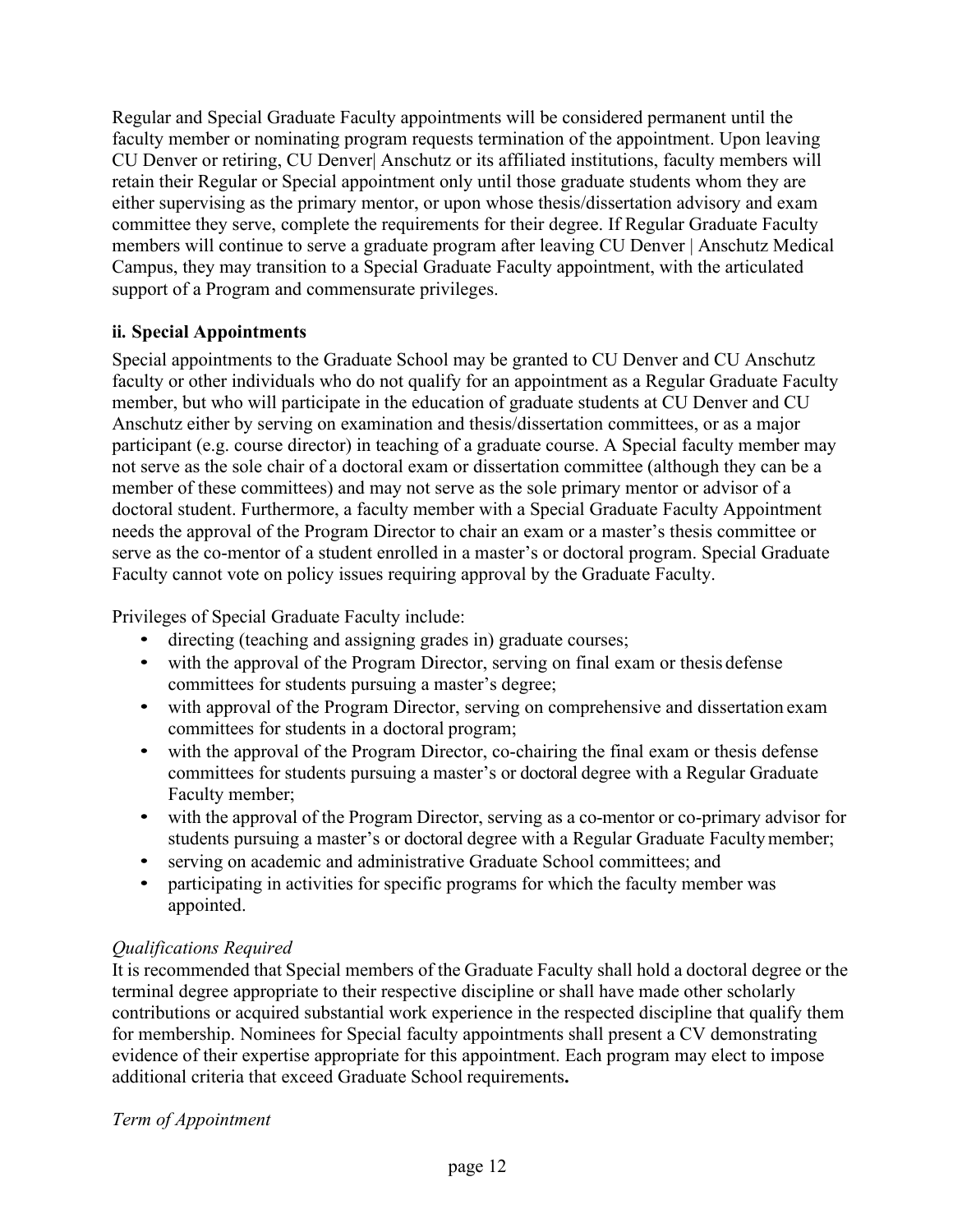Regular and Special Graduate Faculty appointments will be considered permanent until the faculty member or nominating program requests termination of the appointment. Upon leaving CU Denver or retiring, CU Denver| Anschutz or its affiliated institutions, faculty members will retain their Regular or Special appointment only until those graduate students whom they are either supervising as the primary mentor, or upon whose thesis/dissertation advisory and exam committee they serve, complete the requirements for their degree. If Regular Graduate Faculty members will continue to serve a graduate program after leaving CU Denver | Anschutz Medical Campus, they may transition to a Special Graduate Faculty appointment, with the articulated support of a Program and commensurate privileges.

## <span id="page-11-0"></span>**ii. Special Appointments**

Special appointments to the Graduate School may be granted to CU Denver and CU Anschutz faculty or other individuals who do not qualify for an appointment as a Regular Graduate Faculty member, but who will participate in the education of graduate students at CU Denver and CU Anschutz either by serving on examination and thesis/dissertation committees, or as a major participant (e.g. course director) in teaching of a graduate course. A Special faculty member may not serve as the sole chair of a doctoral exam or dissertation committee (although they can be a member of these committees) and may not serve as the sole primary mentor or advisor of a doctoral student. Furthermore, a faculty member with a Special Graduate Faculty Appointment needs the approval of the Program Director to chair an exam or a master's thesis committee or serve as the co-mentor of a student enrolled in a master's or doctoral program. Special Graduate Faculty cannot vote on policy issues requiring approval by the Graduate Faculty.

Privileges of Special Graduate Faculty include:

- directing (teaching and assigning grades in) graduate courses;
- with the approval of the Program Director, serving on final exam or thesis defense committees for students pursuing a master's degree;
- with approval of the Program Director, serving on comprehensive and dissertation exam committees for students in a doctoral program;
- with the approval of the Program Director, co-chairing the final exam or thesis defense committees for students pursuing a master's or doctoral degree with a Regular Graduate Faculty member;
- with the approval of the Program Director, serving as a co-mentor or co-primary advisor for students pursuing a master's or doctoral degree with a Regular Graduate Facultymember;
- serving on academic and administrative Graduate School committees; and
- participating in activities for specific programs for which the faculty member was appointed.

# *Qualifications Required*

It is recommended that Special members of the Graduate Faculty shall hold a doctoral degree or the terminal degree appropriate to their respective discipline or shall have made other scholarly contributions or acquired substantial work experience in the respected discipline that qualify them for membership. Nominees for Special faculty appointments shall present a CV demonstrating evidence of their expertise appropriate for this appointment. Each program may elect to impose additional criteria that exceed Graduate School requirements**.**

## *Term of Appointment*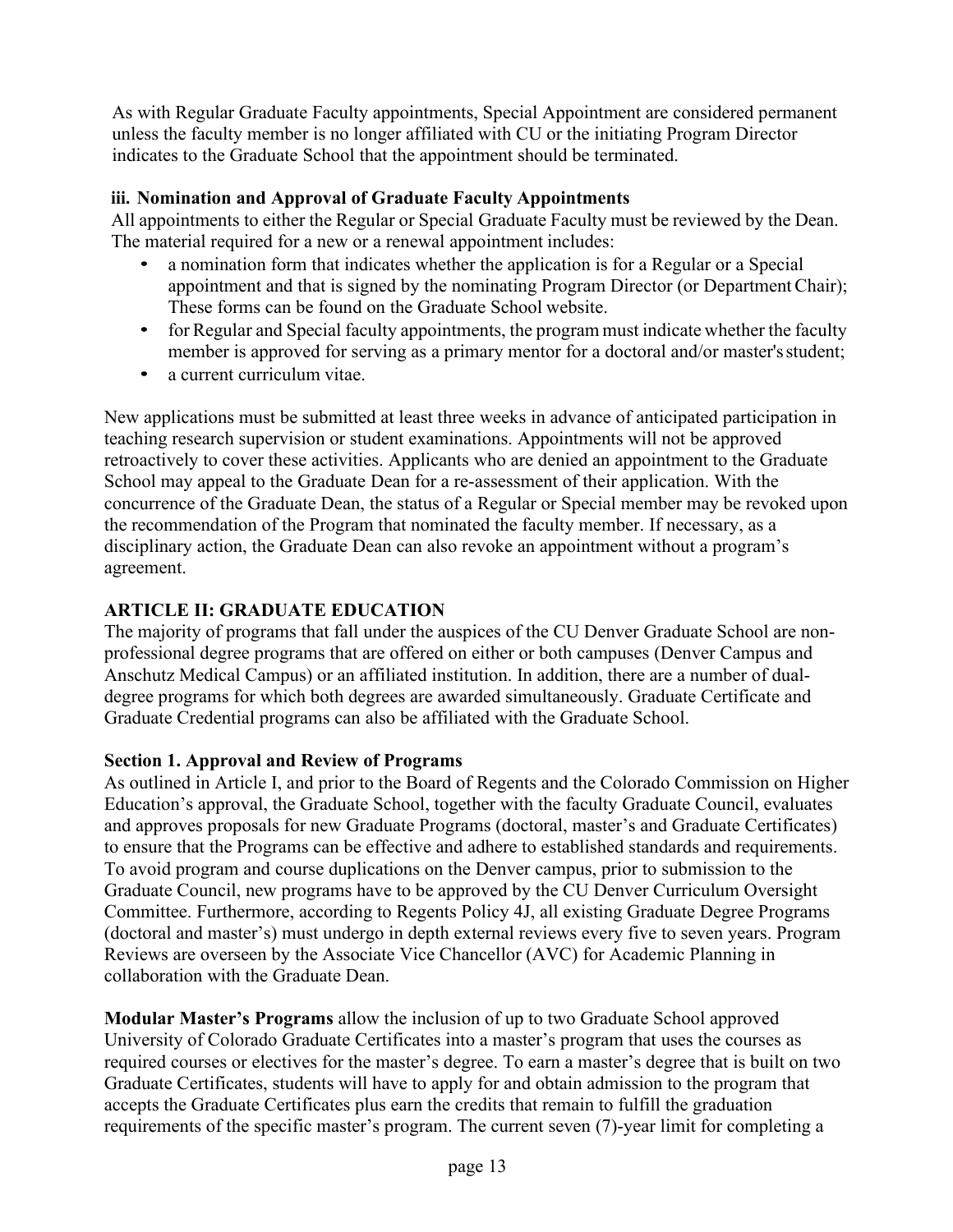As with Regular Graduate Faculty appointments, Special Appointment are considered permanent unless the faculty member is no longer affiliated with CU or the initiating Program Director indicates to the Graduate School that the appointment should be terminated.

# <span id="page-12-0"></span>**iii. Nomination and Approval of Graduate Faculty Appointments**

All appointments to either the Regular or Special Graduate Faculty must be reviewed by the Dean. The material required for a new or a renewal appointment includes:

- a nomination form that indicates whether the application is for a Regular or a Special appointment and that is signed by the nominating Program Director (or DepartmentChair); These forms can be found on the Graduate School website.
- for Regular and Special faculty appointments, the program must indicate whether the faculty member is approved for serving as a primary mentor for a doctoral and/or master'sstudent;
- a current curriculum vitae.

New applications must be submitted at least three weeks in advance of anticipated participation in teaching research supervision or student examinations. Appointments will not be approved retroactively to cover these activities. Applicants who are denied an appointment to the Graduate School may appeal to the Graduate Dean for a re-assessment of their application. With the concurrence of the Graduate Dean, the status of a Regular or Special member may be revoked upon the recommendation of the Program that nominated the faculty member. If necessary, as a disciplinary action, the Graduate Dean can also revoke an appointment without a program's agreement.

# <span id="page-12-1"></span>**ARTICLE II: GRADUATE EDUCATION**

The majority of programs that fall under the auspices of the CU Denver Graduate School are nonprofessional degree programs that are offered on either or both campuses (Denver Campus and Anschutz Medical Campus) or an affiliated institution. In addition, there are a number of dualdegree programs for which both degrees are awarded simultaneously. Graduate Certificate and Graduate Credential programs can also be affiliated with the Graduate School.

# <span id="page-12-2"></span>**Section 1. Approval and Review of Programs**

As outlined in Article I, and prior to the Board of Regents and the Colorado Commission on Higher Education's approval, the Graduate School, together with the faculty Graduate Council, evaluates and approves proposals for new Graduate Programs (doctoral, master's and Graduate Certificates) to ensure that the Programs can be effective and adhere to established standards and requirements. To avoid program and course duplications on the Denver campus, prior to submission to the Graduate Council, new programs have to be approved by the CU Denver Curriculum Oversight Committee. Furthermore, according to Regents Policy 4J, all existing Graduate Degree Programs (doctoral and master's) must undergo in depth external reviews every five to seven years. Program Reviews are overseen by the Associate Vice Chancellor (AVC) for Academic Planning in collaboration with the Graduate Dean.

**Modular Master's Programs** allow the inclusion of up to two Graduate School approved University of Colorado Graduate Certificates into a master's program that uses the courses as required courses or electives for the master's degree. To earn a master's degree that is built on two Graduate Certificates, students will have to apply for and obtain admission to the program that accepts the Graduate Certificates plus earn the credits that remain to fulfill the graduation requirements of the specific master's program. The current seven (7)-year limit for completing a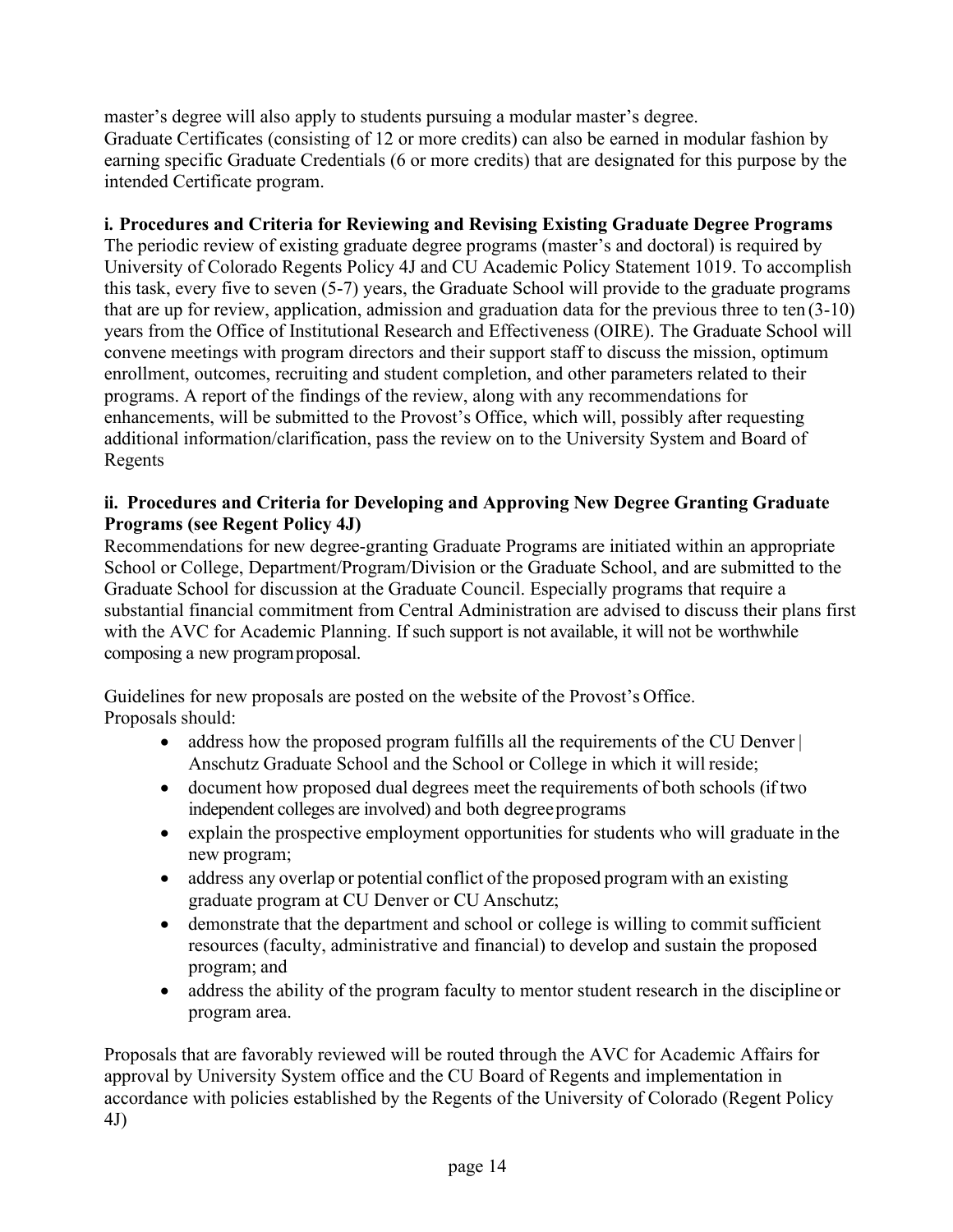master's degree will also apply to students pursuing a modular master's degree. Graduate Certificates (consisting of 12 or more credits) can also be earned in modular fashion by earning specific Graduate Credentials (6 or more credits) that are designated for this purpose by the intended Certificate program.

# <span id="page-13-0"></span>**i. Procedures and Criteria for Reviewing and Revising Existing Graduate Degree Programs**

The periodic review of existing graduate degree programs (master's and doctoral) is required by University of Colorado Regents Policy 4J and CU Academic Policy Statement 1019. To accomplish this task, every five to seven (5-7) years, the Graduate School will provide to the graduate programs that are up for review, application, admission and graduation data for the previous three to ten (3-10) years from the Office of Institutional Research and Effectiveness (OIRE). The Graduate School will convene meetings with program directors and their support staff to discuss the mission, optimum enrollment, outcomes, recruiting and student completion, and other parameters related to their programs. A report of the findings of the review, along with any recommendations for enhancements, will be submitted to the Provost's Office, which will, possibly after requesting additional information/clarification, pass the review on to the University System and Board of Regents

## <span id="page-13-1"></span>**ii. Procedures and Criteria for Developing and Approving New Degree Granting Graduate Programs (see Regent Policy 4J)**

Recommendations for new degree-granting Graduate Programs are initiated within an appropriate School or College, Department/Program/Division or the Graduate School, and are submitted to the Graduate School for discussion at the Graduate Council. Especially programs that require a substantial financial commitment from Central Administration are advised to discuss their plans first with the AVC for Academic Planning. If such support is not available, it will not be worthwhile composing a new programproposal.

Guidelines for new proposals are posted on the website of the Provost's Office. Proposals should:

- address how the proposed program fulfills all the requirements of the CU Denver | Anschutz Graduate School and the School or College in which it will reside;
- document how proposed dual degrees meet the requirements of both schools (if two independent colleges are involved) and both degreeprograms
- explain the prospective employment opportunities for students who will graduate in the new program;
- address any overlap or potential conflict of the proposed program with an existing graduate program at CU Denver or CU Anschutz;
- demonstrate that the department and school or college is willing to commit sufficient resources (faculty, administrative and financial) to develop and sustain the proposed program; and
- address the ability of the program faculty to mentor student research in the discipline or program area.

Proposals that are favorably reviewed will be routed through the AVC for Academic Affairs for approval by University System office and the CU Board of Regents and implementation in accordance with policies established by the Regents of the University of Colorado (Regent Policy 4J)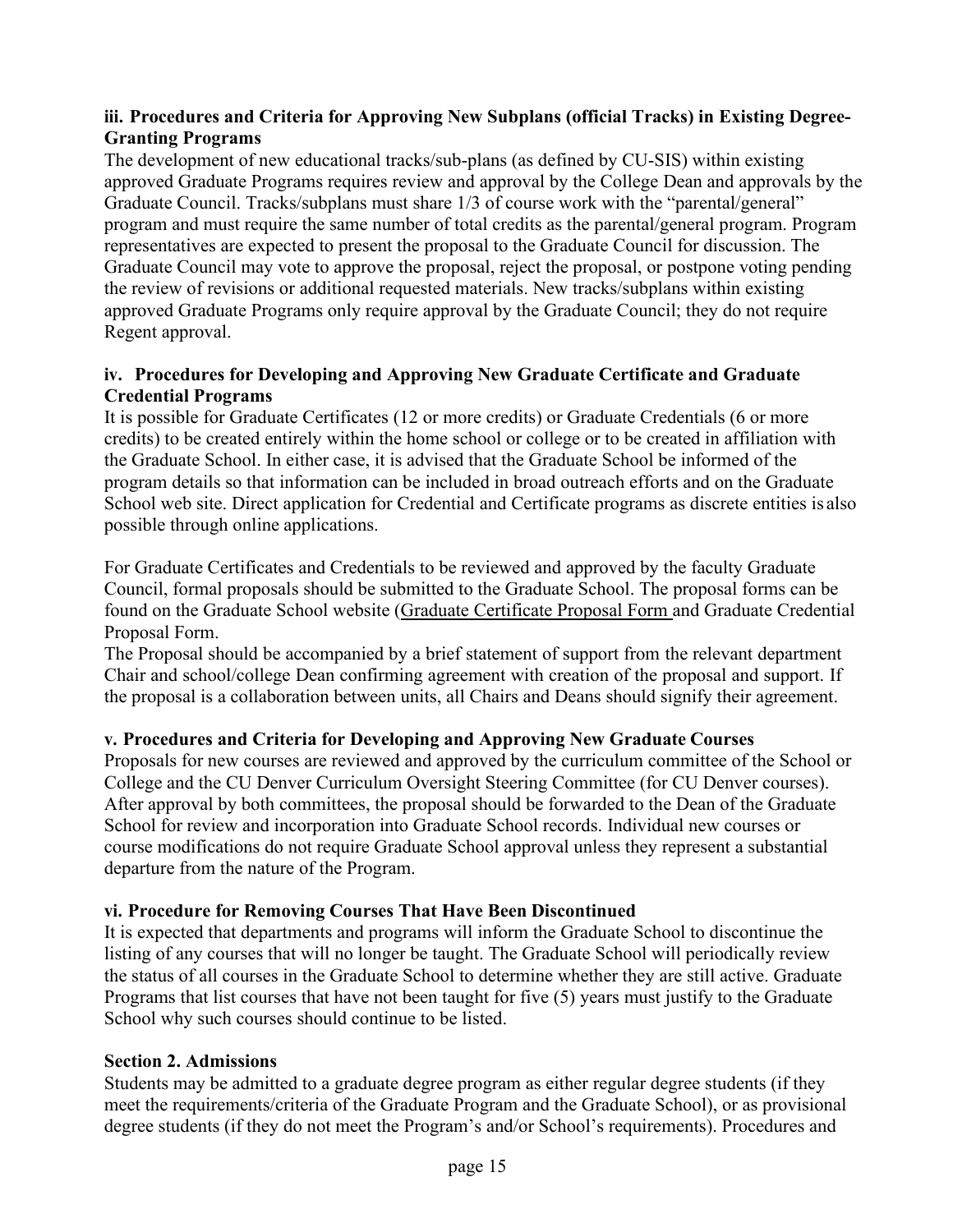# <span id="page-14-0"></span>**iii. Procedures and Criteria for Approving New Subplans (official Tracks) in Existing Degree-Granting Programs**

The development of new educational tracks/sub-plans (as defined by CU-SIS) within existing approved Graduate Programs requires review and approval by the College Dean and approvals by the Graduate Council. Tracks/subplans must share 1/3 of course work with the "parental/general" program and must require the same number of total credits as the parental/general program. Program representatives are expected to present the proposal to the Graduate Council for discussion. The Graduate Council may vote to approve the proposal, reject the proposal, or postpone voting pending the review of revisions or additional requested materials. New tracks/subplans within existing approved Graduate Programs only require approval by the Graduate Council; they do not require Regent approval.

## <span id="page-14-1"></span>**iv. Procedures for Developing and Approving New Graduate Certificate and Graduate Credential Programs**

It is possible for Graduate Certificates (12 or more credits) or Graduate Credentials (6 or more credits) to be created entirely within the home school or college or to be created in affiliation with the Graduate School. In either case, it is advised that the Graduate School be informed of the program details so that information can be included in broad outreach efforts and on the Graduate School web site. Direct application for Credential and Certificate programs as discrete entities is also possible through online applications.

For Graduate Certificates and Credentials to be reviewed and approved by the faculty Graduate Council, formal proposals should be submitted to the Graduate School. The proposal forms can be found on the Graduate School website [\(Graduate Certificate Proposal Form a](https://www.ucdenver.edu/docs/librariesprovider138/denver-anschutz-graduate-school/resources/certificate-proposal-form.pdf?sfvrsn=981c22b9_2)nd Graduate Credential Proposal Form.

The Proposal should be accompanied by a brief statement of support from the relevant department Chair and school/college Dean confirming agreement with creation of the proposal and support. If the proposal is a collaboration between units, all Chairs and Deans should signify their agreement.

## <span id="page-14-2"></span>**v. Procedures and Criteria for Developing and Approving New Graduate Courses**

Proposals for new courses are reviewed and approved by the curriculum committee of the School or College and the CU Denver Curriculum Oversight Steering Committee (for CU Denver courses). After approval by both committees, the proposal should be forwarded to the Dean of the Graduate School for review and incorporation into Graduate School records. Individual new courses or course modifications do not require Graduate School approval unless they represent a substantial departure from the nature of the Program.

## <span id="page-14-3"></span>**vi. Procedure for Removing Courses That Have Been Discontinued**

It is expected that departments and programs will inform the Graduate School to discontinue the listing of any courses that will no longer be taught. The Graduate School will periodically review the status of all courses in the Graduate School to determine whether they are still active. Graduate Programs that list courses that have not been taught for five (5) years must justify to the Graduate School why such courses should continue to be listed.

## <span id="page-14-4"></span>**Section 2. Admissions**

Students may be admitted to a graduate degree program as either regular degree students (if they meet the requirements/criteria of the Graduate Program and the Graduate School), or as provisional degree students (if they do not meet the Program's and/or School's requirements). Procedures and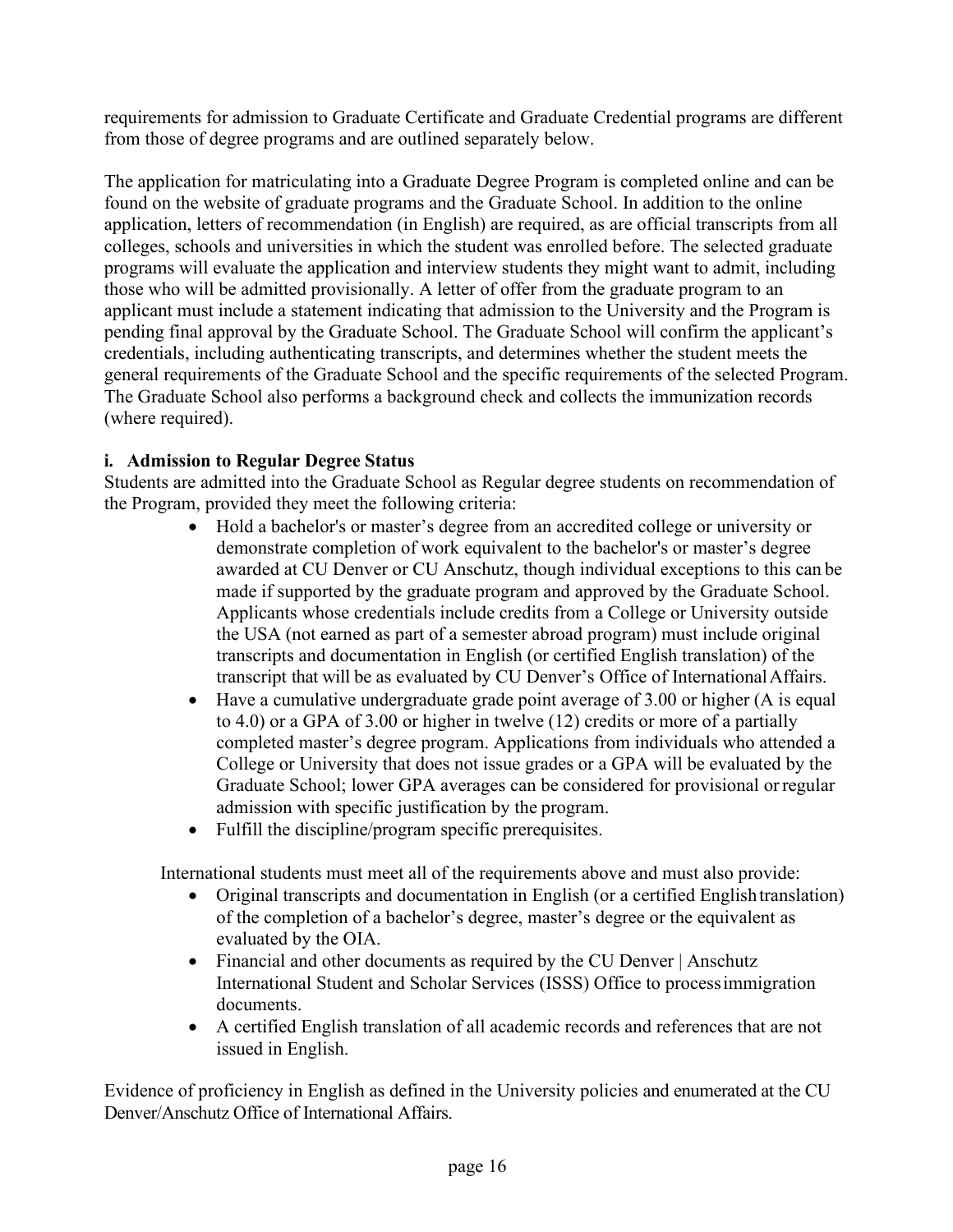requirements for admission to Graduate Certificate and Graduate Credential programs are different from those of degree programs and are outlined separately below.

The application for matriculating into a Graduate Degree Program is completed online and can be found on the website of graduate programs and the Graduate School. In addition to the online application, letters of recommendation (in English) are required, as are official transcripts from all colleges, schools and universities in which the student was enrolled before. The selected graduate programs will evaluate the application and interview students they might want to admit, including those who will be admitted provisionally. A letter of offer from the graduate program to an applicant must include a statement indicating that admission to the University and the Program is pending final approval by the Graduate School. The Graduate School will confirm the applicant's credentials, including authenticating transcripts, and determines whether the student meets the general requirements of the Graduate School and the specific requirements of the selected Program. The Graduate School also performs a background check and collects the immunization records (where required).

# <span id="page-15-0"></span>**i. Admission to Regular Degree Status**

Students are admitted into the Graduate School as Regular degree students on recommendation of the Program, provided they meet the following criteria:

- Hold a bachelor's or master's degree from an accredited college or university or demonstrate completion of work equivalent to the bachelor's or master's degree awarded at CU Denver or CU Anschutz, though individual exceptions to this can be made if supported by the graduate program and approved by the Graduate School. Applicants whose credentials include credits from a College or University outside the USA (not earned as part of a semester abroad program) must include original transcripts and documentation in English (or certified English translation) of the transcript that will be as evaluated by CU Denver's Office of InternationalAffairs.
- Have a cumulative undergraduate grade point average of 3.00 or higher (A is equal to 4.0) or a GPA of 3.00 or higher in twelve (12) credits or more of a partially completed master's degree program. Applications from individuals who attended a College or University that does not issue grades or a GPA will be evaluated by the Graduate School; lower GPA averages can be considered for provisional orregular admission with specific justification by the program.
- Fulfill the discipline/program specific prerequisites.

International students must meet all of the requirements above and must also provide:

- Original transcripts and documentation in English (or a certified English translation) of the completion of a bachelor's degree, master's degree or the equivalent as evaluated by the OIA.
- Financial and other documents as required by the CU Denver | Anschutz International Student and Scholar Services (ISSS) Office to processimmigration documents.
- A certified English translation of all academic records and references that are not issued in English.

Evidence of proficiency in English as defined in the University policies and enumerated at the CU Denver/Anschutz Office of International Affairs.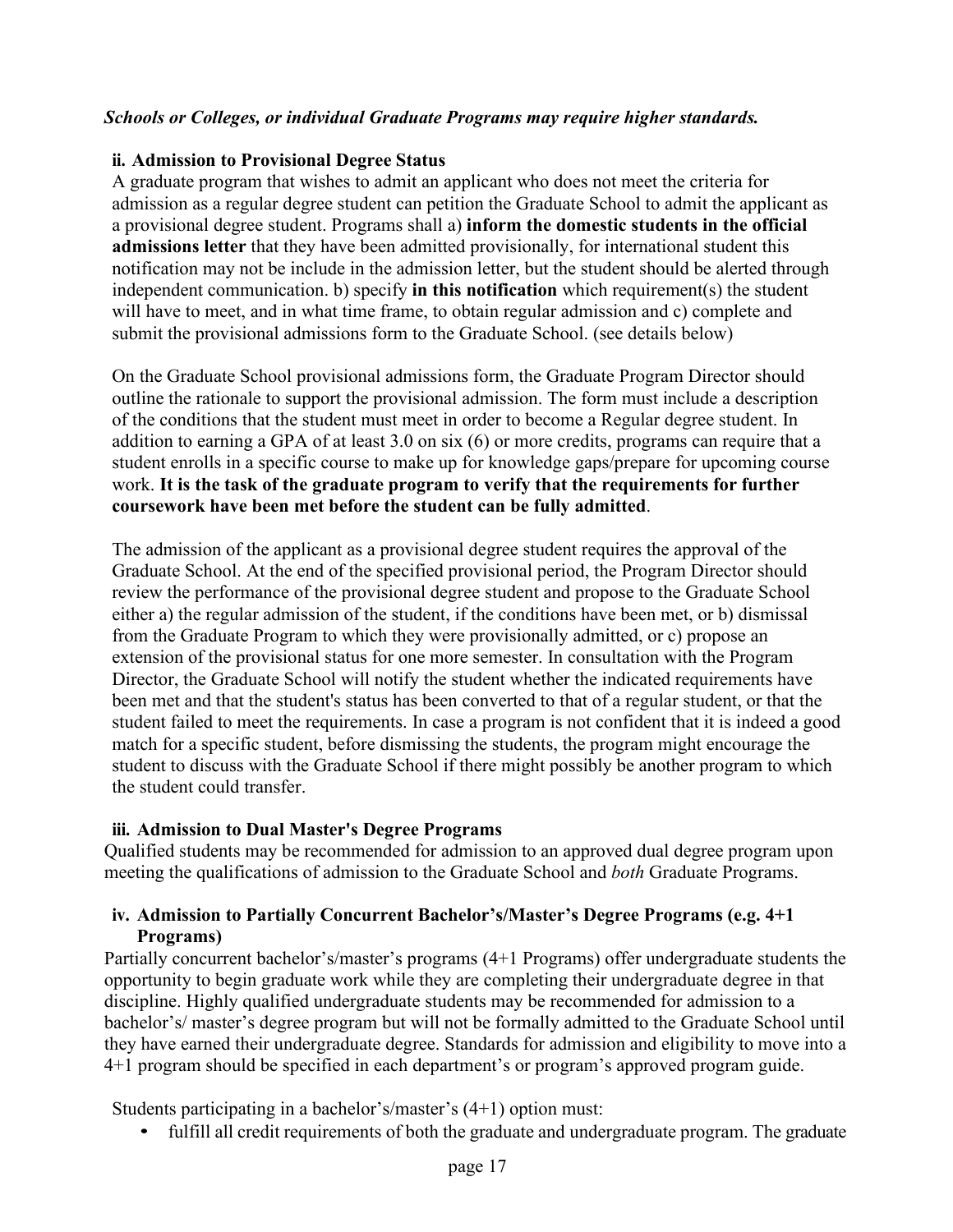#### *Schools or Colleges, or individual Graduate Programs may require higher standards.*

#### <span id="page-16-0"></span>**ii. Admission to Provisional Degree Status**

A graduate program that wishes to admit an applicant who does not meet the criteria for admission as a regular degree student can petition the Graduate School to admit the applicant as a provisional degree student. Programs shall a) **inform the domestic students in the official admissions letter** that they have been admitted provisionally, for international student this notification may not be include in the admission letter, but the student should be alerted through independent communication. b) specify **in this notification** which requirement(s) the student will have to meet, and in what time frame, to obtain regular admission and c) complete and submit the provisional admissions form to the Graduate School. (see details below)

On the Graduate School provisional admissions form, the Graduate Program Director should outline the rationale to support the provisional admission. The form must include a description of the conditions that the student must meet in order to become a Regular degree student. In addition to earning a GPA of at least 3.0 on six (6) or more credits, programs can require that a student enrolls in a specific course to make up for knowledge gaps/prepare for upcoming course work. **It is the task of the graduate program to verify that the requirements for further coursework have been met before the student can be fully admitted**.

The admission of the applicant as a provisional degree student requires the approval of the Graduate School. At the end of the specified provisional period, the Program Director should review the performance of the provisional degree student and propose to the Graduate School either a) the regular admission of the student, if the conditions have been met, or b) dismissal from the Graduate Program to which they were provisionally admitted, or c) propose an extension of the provisional status for one more semester. In consultation with the Program Director, the Graduate School will notify the student whether the indicated requirements have been met and that the student's status has been converted to that of a regular student, or that the student failed to meet the requirements. In case a program is not confident that it is indeed a good match for a specific student, before dismissing the students, the program might encourage the student to discuss with the Graduate School if there might possibly be another program to which the student could transfer.

#### <span id="page-16-1"></span>**iii. Admission to Dual Master's Degree Programs**

Qualified students may be recommended for admission to an approved dual degree program upon meeting the qualifications of admission to the Graduate School and *both* Graduate Programs.

## <span id="page-16-2"></span>**iv. Admission to Partially Concurrent Bachelor's/Master's Degree Programs (e.g. 4+1 Programs)**

Partially concurrent bachelor's/master's programs (4+1 Programs) offer undergraduate students the opportunity to begin graduate work while they are completing their undergraduate degree in that discipline. Highly qualified undergraduate students may be recommended for admission to a bachelor's/ master's degree program but will not be formally admitted to the Graduate School until they have earned their undergraduate degree. Standards for admission and eligibility to move into a 4+1 program should be specified in each department's or program's approved program guide.

Students participating in a bachelor's/master's (4+1) option must:

• fulfill all credit requirements of both the graduate and undergraduate program. The graduate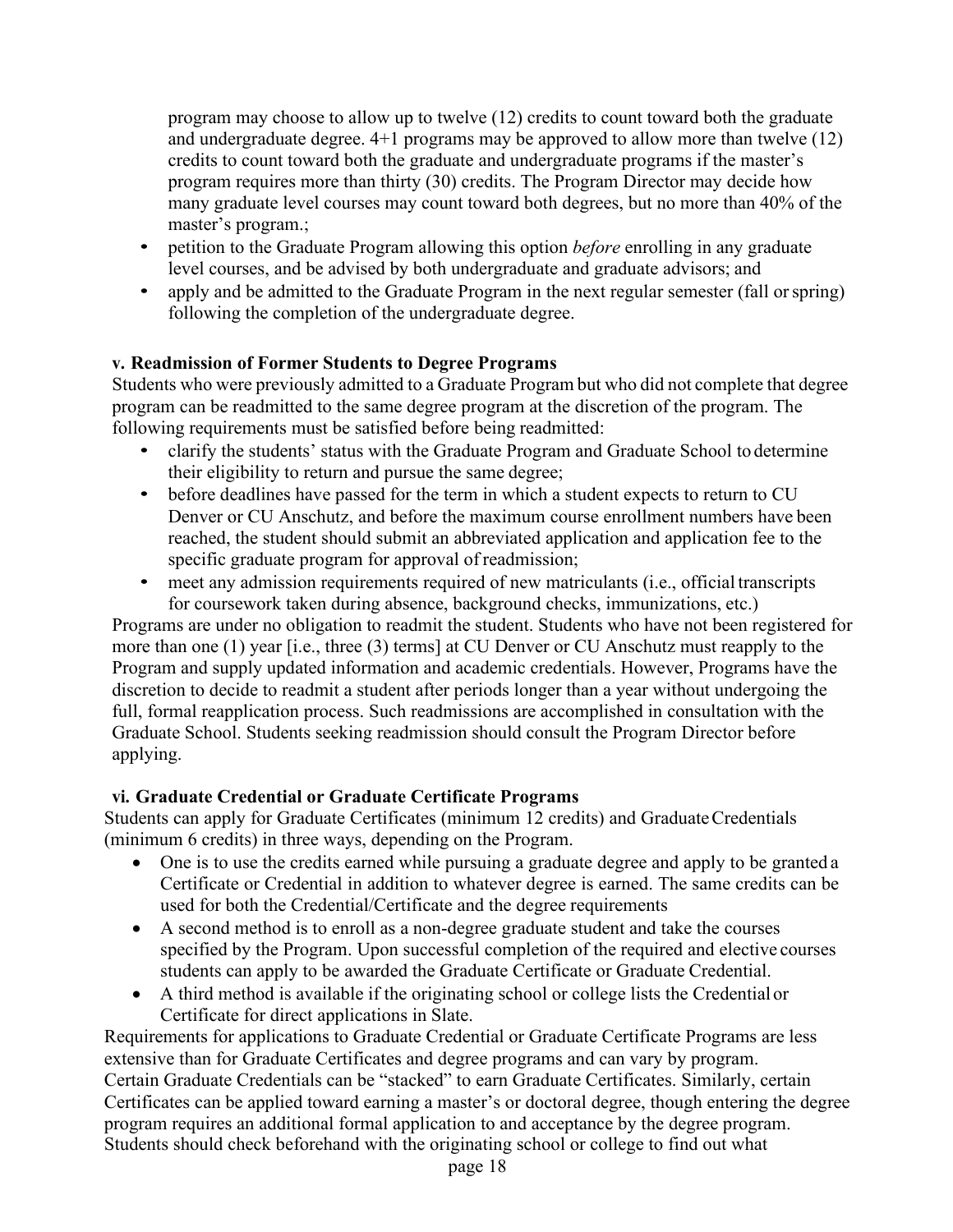program may choose to allow up to twelve (12) credits to count toward both the graduate and undergraduate degree. 4+1 programs may be approved to allow more than twelve (12) credits to count toward both the graduate and undergraduate programs if the master's program requires more than thirty (30) credits. The Program Director may decide how many graduate level courses may count toward both degrees, but no more than 40% of the master's program.;

- petition to the Graduate Program allowing this option *before* enrolling in any graduate level courses, and be advised by both undergraduate and graduate advisors; and
- apply and be admitted to the Graduate Program in the next regular semester (fall or spring) following the completion of the undergraduate degree.

# <span id="page-17-0"></span>**v. Readmission of Former Students to Degree Programs**

Students who were previously admitted to a Graduate Program but who did not complete that degree program can be readmitted to the same degree program at the discretion of the program. The following requirements must be satisfied before being readmitted:

- clarify the students' status with the Graduate Program and Graduate School to determine their eligibility to return and pursue the same degree;
- before deadlines have passed for the term in which a student expects to return to CU Denver or CU Anschutz, and before the maximum course enrollment numbers have been reached, the student should submit an abbreviated application and application fee to the specific graduate program for approval of readmission;
- meet any admission requirements required of new matriculants (i.e., official transcripts for coursework taken during absence, background checks, immunizations, etc.)

Programs are under no obligation to readmit the student. Students who have not been registered for more than one (1) year [i.e., three (3) terms] at CU Denver or CU Anschutz must reapply to the Program and supply updated information and academic credentials. However, Programs have the discretion to decide to readmit a student after periods longer than a year without undergoing the full, formal reapplication process. Such readmissions are accomplished in consultation with the Graduate School. Students seeking readmission should consult the Program Director before applying.

# <span id="page-17-1"></span>**vi. Graduate Credential or Graduate Certificate Programs**

Students can apply for Graduate Certificates (minimum 12 credits) and GraduateCredentials (minimum 6 credits) in three ways, depending on the Program.

- One is to use the credits earned while pursuing a graduate degree and apply to be granted a Certificate or Credential in addition to whatever degree is earned. The same credits can be used for both the Credential/Certificate and the degree requirements
- A second method is to enroll as a non-degree graduate student and take the courses specified by the Program. Upon successful completion of the required and elective courses students can apply to be awarded the Graduate Certificate or Graduate Credential.
- A third method is available if the originating school or college lists the Credential or Certificate for direct applications in Slate.

Requirements for applications to Graduate Credential or Graduate Certificate Programs are less extensive than for Graduate Certificates and degree programs and can vary by program. Certain Graduate Credentials can be "stacked" to earn Graduate Certificates. Similarly, certain Certificates can be applied toward earning a master's or doctoral degree, though entering the degree program requires an additional formal application to and acceptance by the degree program. Students should check beforehand with the originating school or college to find out what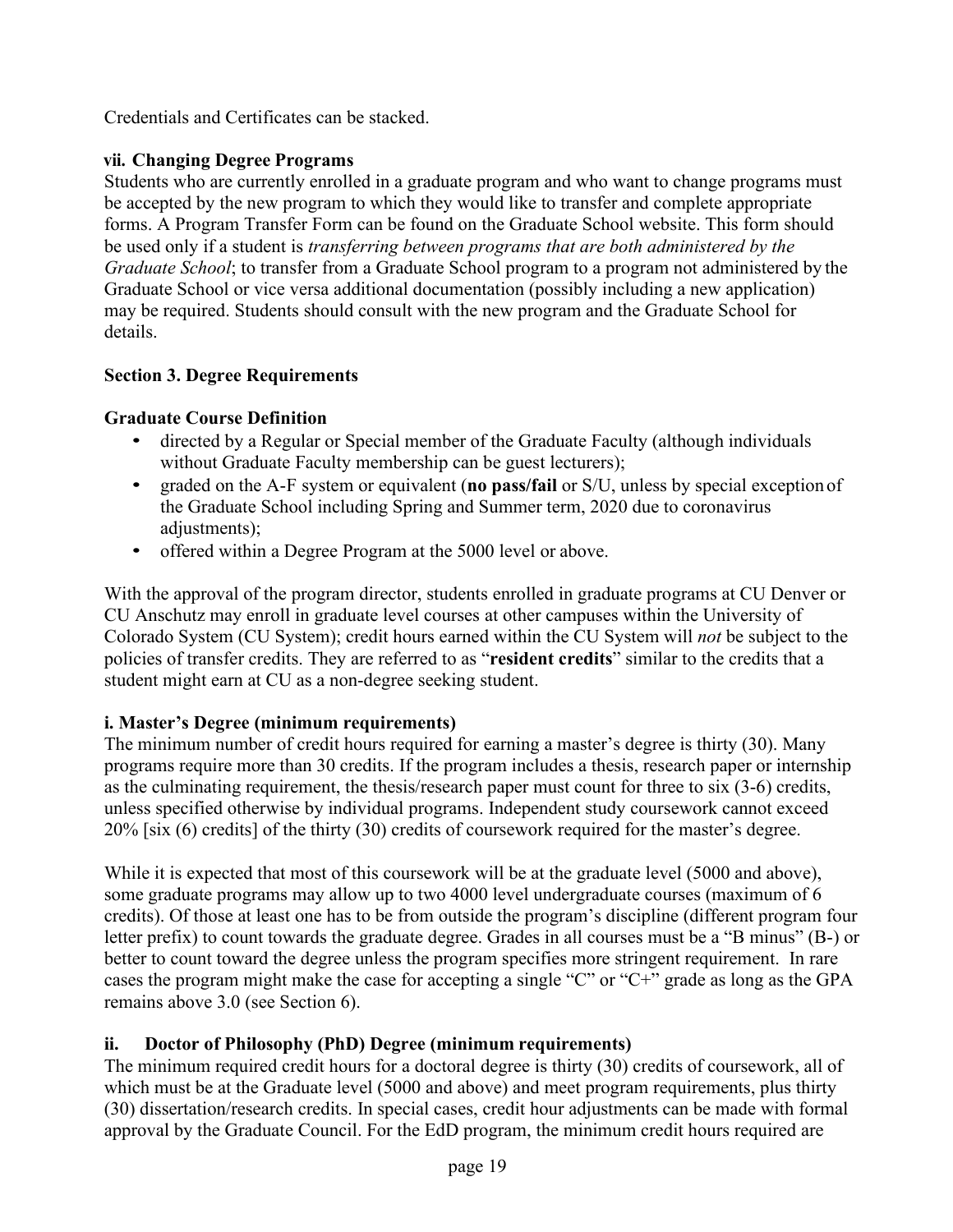Credentials and Certificates can be stacked.

# <span id="page-18-0"></span>**vii. Changing Degree Programs**

Students who are currently enrolled in a graduate program and who want to change programs must be accepted by the new program to which they would like to transfer and complete appropriate forms. A Program Transfer Form can be found on the Graduate School website. This form should be used only if a student is *transferring between programs that are both administered by the Graduate School*; to transfer from a Graduate School program to a program not administered by the Graduate School or vice versa additional documentation (possibly including a new application) may be required. Students should consult with the new program and the Graduate School for details.

# <span id="page-18-1"></span>**Section 3. Degree Requirements**

# **Graduate Course Definition**

- directed by a Regular or Special member of the Graduate Faculty (although individuals without Graduate Faculty membership can be guest lecturers);
- graded on the A-F system or equivalent (**no pass/fail** or S/U, unless by special exception of the Graduate School including Spring and Summer term, 2020 due to coronavirus adjustments);
- offered within a Degree Program at the 5000 level or above.

With the approval of the program director, students enrolled in graduate programs at CU Denver or CU Anschutz may enroll in graduate level courses at other campuses within the University of Colorado System (CU System); credit hours earned within the CU System will *not* be subject to the policies of transfer credits. They are referred to as "**resident credits**" similar to the credits that a student might earn at CU as a non-degree seeking student.

# <span id="page-18-2"></span>**i. Master's Degree (minimum requirements)**

The minimum number of credit hours required for earning a master's degree is thirty (30). Many programs require more than 30 credits. If the program includes a thesis, research paper or internship as the culminating requirement, the thesis/research paper must count for three to six (3-6) credits, unless specified otherwise by individual programs. Independent study coursework cannot exceed 20% [six (6) credits] of the thirty (30) credits of coursework required for the master's degree.

While it is expected that most of this coursework will be at the graduate level (5000 and above), some graduate programs may allow up to two 4000 level undergraduate courses (maximum of 6 credits). Of those at least one has to be from outside the program's discipline (different program four letter prefix) to count towards the graduate degree. Grades in all courses must be a "B minus" (B-) or better to count toward the degree unless the program specifies more stringent requirement. In rare cases the program might make the case for accepting a single "C" or "C+" grade as long as the GPA remains above 3.0 (see Section 6).

# <span id="page-18-3"></span>**ii. Doctor of Philosophy (PhD) Degree (minimum requirements)**

The minimum required credit hours for a doctoral degree is thirty (30) credits of coursework, all of which must be at the Graduate level (5000 and above) and meet program requirements, plus thirty (30) dissertation/research credits. In special cases, credit hour adjustments can be made with formal approval by the Graduate Council. For the EdD program, the minimum credit hours required are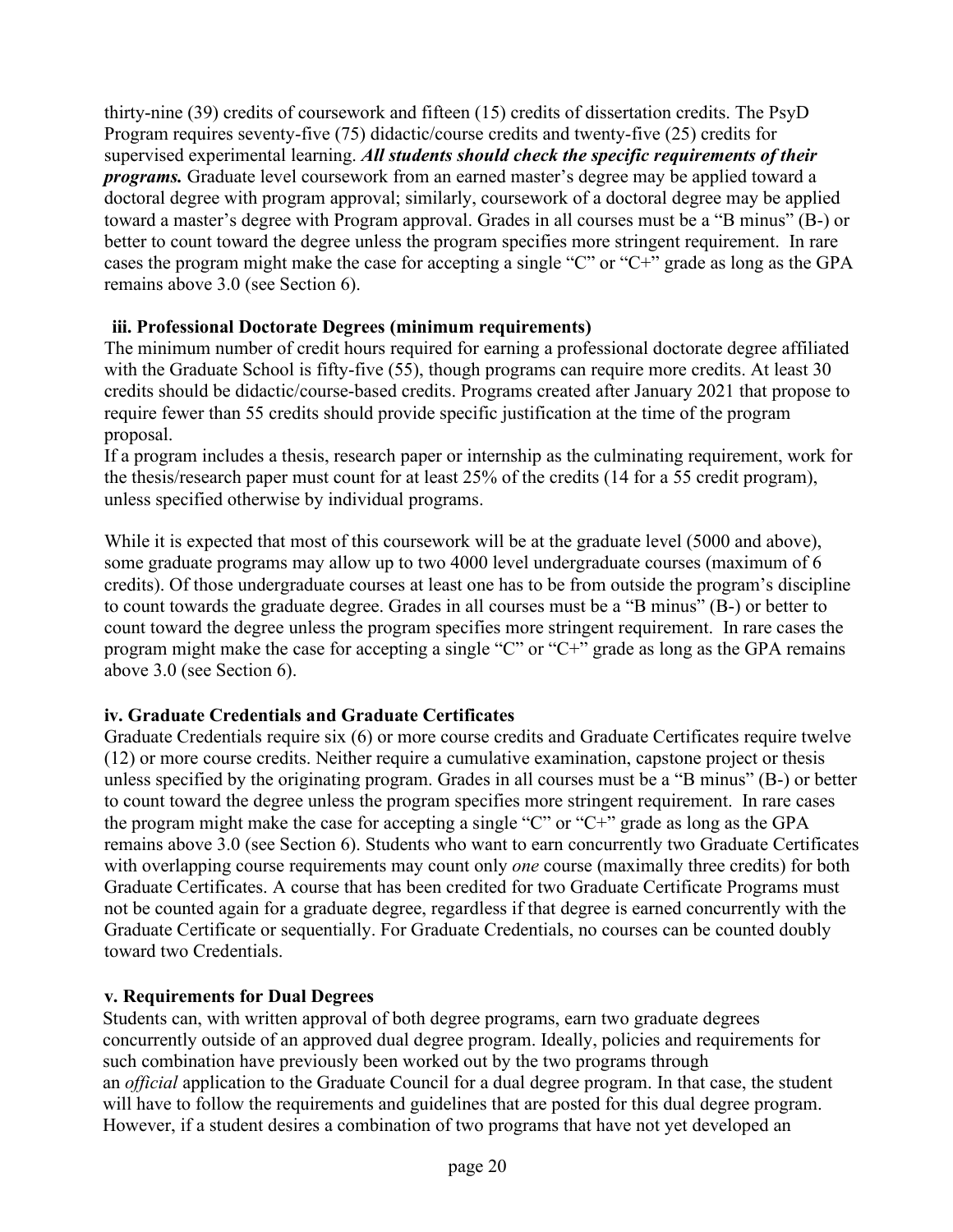thirty-nine (39) credits of coursework and fifteen (15) credits of dissertation credits. The PsyD Program requires seventy-five (75) didactic/course credits and twenty-five (25) credits for supervised experimental learning. *All students should check the specific requirements of their programs.* Graduate level coursework from an earned master's degree may be applied toward a doctoral degree with program approval; similarly, coursework of a doctoral degree may be applied toward a master's degree with Program approval. Grades in all courses must be a "B minus" (B-) or better to count toward the degree unless the program specifies more stringent requirement. In rare cases the program might make the case for accepting a single "C" or "C+" grade as long as the GPA remains above 3.0 (see Section 6).

# <span id="page-19-0"></span>**iii. Professional Doctorate Degrees (minimum requirements)**

The minimum number of credit hours required for earning a professional doctorate degree affiliated with the Graduate School is fifty-five (55), though programs can require more credits. At least 30 credits should be didactic/course-based credits. Programs created after January 2021 that propose to require fewer than 55 credits should provide specific justification at the time of the program proposal.

If a program includes a thesis, research paper or internship as the culminating requirement, work for the thesis/research paper must count for at least 25% of the credits (14 for a 55 credit program), unless specified otherwise by individual programs.

While it is expected that most of this coursework will be at the graduate level (5000 and above), some graduate programs may allow up to two 4000 level undergraduate courses (maximum of 6 credits). Of those undergraduate courses at least one has to be from outside the program's discipline to count towards the graduate degree. Grades in all courses must be a "B minus" (B-) or better to count toward the degree unless the program specifies more stringent requirement. In rare cases the program might make the case for accepting a single "C" or "C+" grade as long as the GPA remains above 3.0 (see Section 6).

# <span id="page-19-1"></span>**iv. Graduate Credentials and Graduate Certificates**

Graduate Credentials require six (6) or more course credits and Graduate Certificates require twelve (12) or more course credits. Neither require a cumulative examination, capstone project or thesis unless specified by the originating program. Grades in all courses must be a "B minus" (B-) or better to count toward the degree unless the program specifies more stringent requirement. In rare cases the program might make the case for accepting a single "C" or "C+" grade as long as the GPA remains above 3.0 (see Section 6). Students who want to earn concurrently two Graduate Certificates with overlapping course requirements may count only *one* course (maximally three credits) for both Graduate Certificates. A course that has been credited for two Graduate Certificate Programs must not be counted again for a graduate degree, regardless if that degree is earned concurrently with the Graduate Certificate or sequentially. For Graduate Credentials, no courses can be counted doubly toward two Credentials.

# <span id="page-19-2"></span>**v. Requirements for Dual Degrees**

Students can, with written approval of both degree programs, earn two graduate degrees concurrently outside of an approved dual degree program. Ideally, policies and requirements for such combination have previously been worked out by the two programs through an *official* application to the Graduate Council for a dual degree program. In that case, the student will have to follow the requirements and guidelines that are posted for this dual degree program. However, if a student desires a combination of two programs that have not yet developed an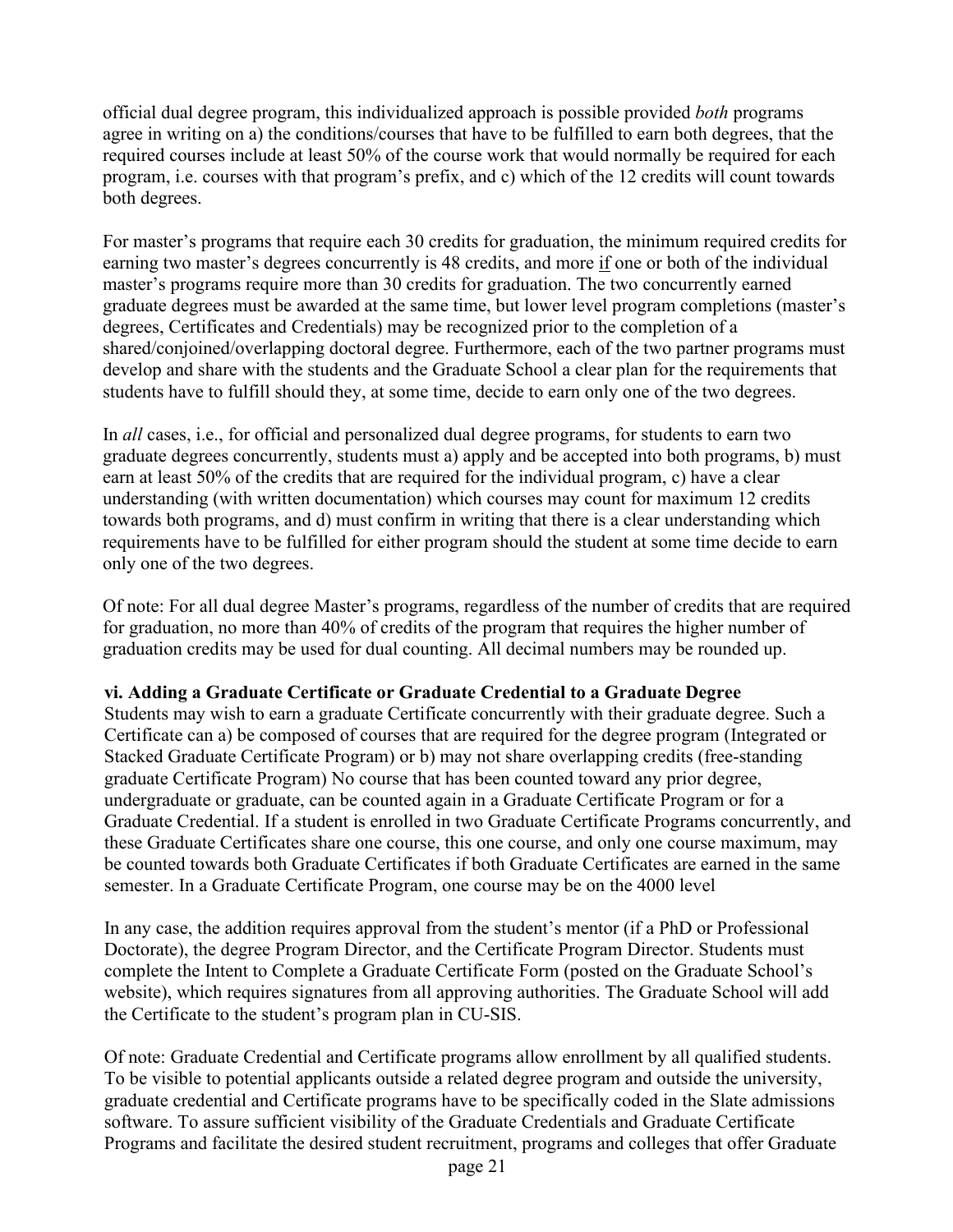official dual degree program, this individualized approach is possible provided *both* programs agree in writing on a) the conditions/courses that have to be fulfilled to earn both degrees, that the required courses include at least 50% of the course work that would normally be required for each program, i.e. courses with that program's prefix, and c) which of the 12 credits will count towards both degrees.

For master's programs that require each 30 credits for graduation, the minimum required credits for earning two master's degrees concurrently is 48 credits, and more if one or both of the individual master's programs require more than 30 credits for graduation. The two concurrently earned graduate degrees must be awarded at the same time, but lower level program completions (master's degrees, Certificates and Credentials) may be recognized prior to the completion of a shared/conjoined/overlapping doctoral degree. Furthermore, each of the two partner programs must develop and share with the students and the Graduate School a clear plan for the requirements that students have to fulfill should they, at some time, decide to earn only one of the two degrees.

In *all* cases, i.e., for official and personalized dual degree programs, for students to earn two graduate degrees concurrently, students must a) apply and be accepted into both programs, b) must earn at least 50% of the credits that are required for the individual program, c) have a clear understanding (with written documentation) which courses may count for maximum 12 credits towards both programs, and d) must confirm in writing that there is a clear understanding which requirements have to be fulfilled for either program should the student at some time decide to earn only one of the two degrees.

Of note: For all dual degree Master's programs, regardless of the number of credits that are required for graduation, no more than 40% of credits of the program that requires the higher number of graduation credits may be used for dual counting. All decimal numbers may be rounded up.

## <span id="page-20-0"></span>**vi. Adding a Graduate Certificate or Graduate Credential to a Graduate Degree**

Students may wish to earn a graduate Certificate concurrently with their graduate degree. Such a Certificate can a) be composed of courses that are required for the degree program (Integrated or Stacked Graduate Certificate Program) or b) may not share overlapping credits (free-standing graduate Certificate Program) No course that has been counted toward any prior degree, undergraduate or graduate, can be counted again in a Graduate Certificate Program or for a Graduate Credential. If a student is enrolled in two Graduate Certificate Programs concurrently, and these Graduate Certificates share one course, this one course, and only one course maximum, may be counted towards both Graduate Certificates if both Graduate Certificates are earned in the same semester. In a Graduate Certificate Program, one course may be on the 4000 level

In any case, the addition requires approval from the student's mentor (if a PhD or Professional Doctorate), the degree Program Director, and the Certificate Program Director. Students must complete the Intent to Complete a Graduate Certificate Form (posted on the Graduate School's website), which requires signatures from all approving authorities. The Graduate School will add the Certificate to the student's program plan in CU-SIS.

Of note: Graduate Credential and Certificate programs allow enrollment by all qualified students. To be visible to potential applicants outside a related degree program and outside the university, graduate credential and Certificate programs have to be specifically coded in the Slate admissions software. To assure sufficient visibility of the Graduate Credentials and Graduate Certificate Programs and facilitate the desired student recruitment, programs and colleges that offer Graduate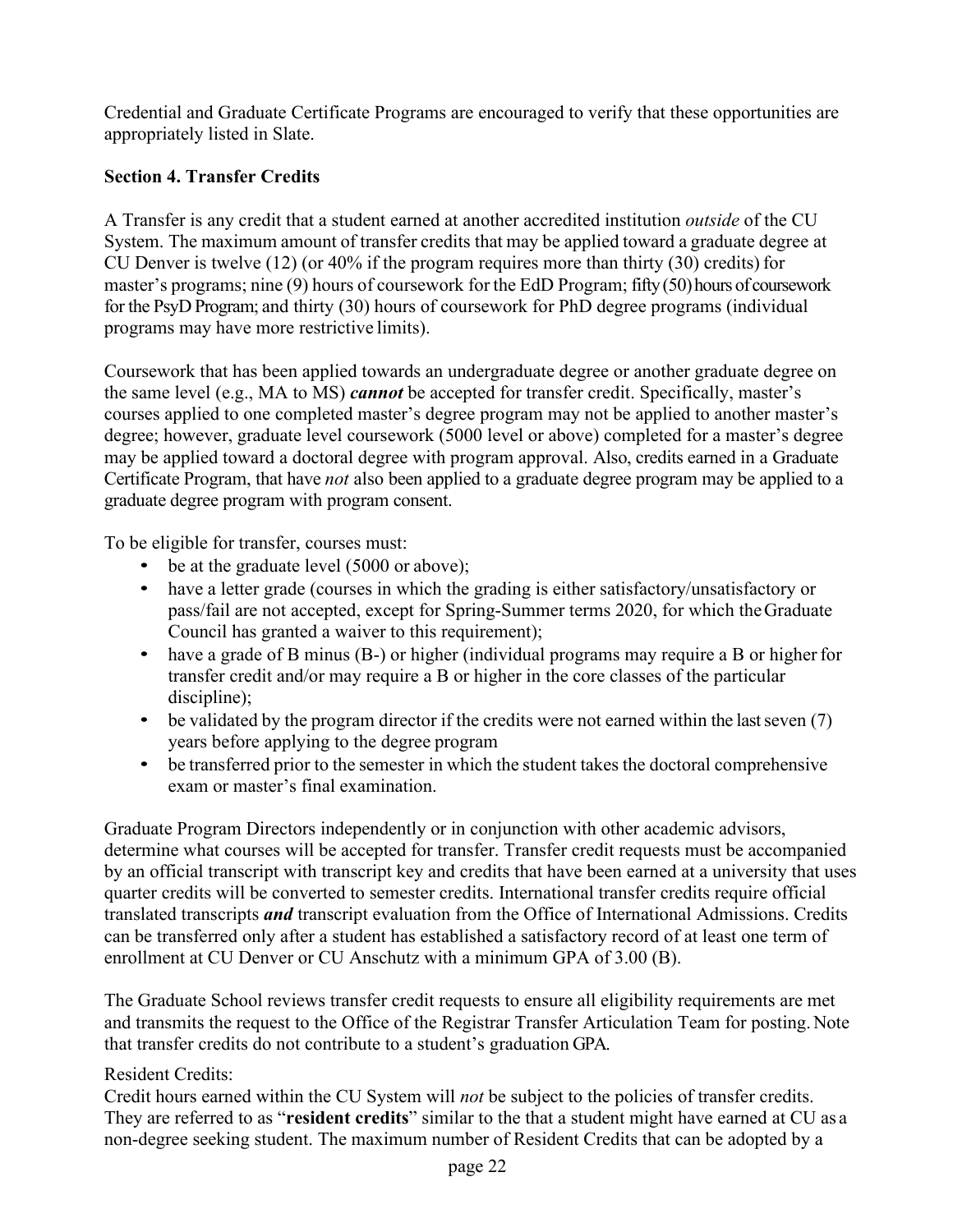Credential and Graduate Certificate Programs are encouraged to verify that these opportunities are appropriately listed in Slate.

# <span id="page-21-0"></span>**Section 4. Transfer Credits**

A Transfer is any credit that a student earned at another accredited institution *outside* of the CU System. The maximum amount of transfer credits that may be applied toward a graduate degree at CU Denver is twelve (12) (or 40% if the program requires more than thirty (30) credits) for master's programs; nine (9) hours of coursework for the EdD Program; fifty(50)hours of coursework for the PsyD Program; and thirty (30) hours of coursework for PhD degree programs (individual programs may have more restrictive limits).

Coursework that has been applied towards an undergraduate degree or another graduate degree on the same level (e.g., MA to MS) *cannot* be accepted for transfer credit. Specifically, master's courses applied to one completed master's degree program may not be applied to another master's degree; however, graduate level coursework (5000 level or above) completed for a master's degree may be applied toward a doctoral degree with program approval. Also, credits earned in a Graduate Certificate Program, that have *not* also been applied to a graduate degree program may be applied to a graduate degree program with program consent.

To be eligible for transfer, courses must:

- be at the graduate level (5000 or above);
- have a letter grade (courses in which the grading is either satisfactory/unsatisfactory or pass/fail are not accepted, except for Spring-Summer terms 2020, for which theGraduate Council has granted a waiver to this requirement);
- have a grade of B minus (B-) or higher (individual programs may require a B or higher for transfer credit and/or may require a B or higher in the core classes of the particular discipline);
- be validated by the program director if the credits were not earned within the last seven  $(7)$ years before applying to the degree program
- be transferred prior to the semester in which the student takes the doctoral comprehensive exam or master's final examination.

Graduate Program Directors independently or in conjunction with other academic advisors, determine what courses will be accepted for transfer. Transfer credit requests must be accompanied by an official transcript with transcript key and credits that have been earned at a university that uses quarter credits will be converted to semester credits. International transfer credits require official translated transcripts *and* transcript evaluation from the Office of International Admissions. Credits can be transferred only after a student has established a satisfactory record of at least one term of enrollment at CU Denver or CU Anschutz with a minimum GPA of 3.00 (B).

The Graduate School reviews transfer credit requests to ensure all eligibility requirements are met and transmits the request to the Office of the Registrar Transfer Articulation Team for posting.Note that transfer credits do not contribute to a student's graduation GPA.

# Resident Credits:

Credit hours earned within the CU System will *not* be subject to the policies of transfer credits. They are referred to as "**resident credits**" similar to the that a student might have earned at CU as a non-degree seeking student. The maximum number of Resident Credits that can be adopted by a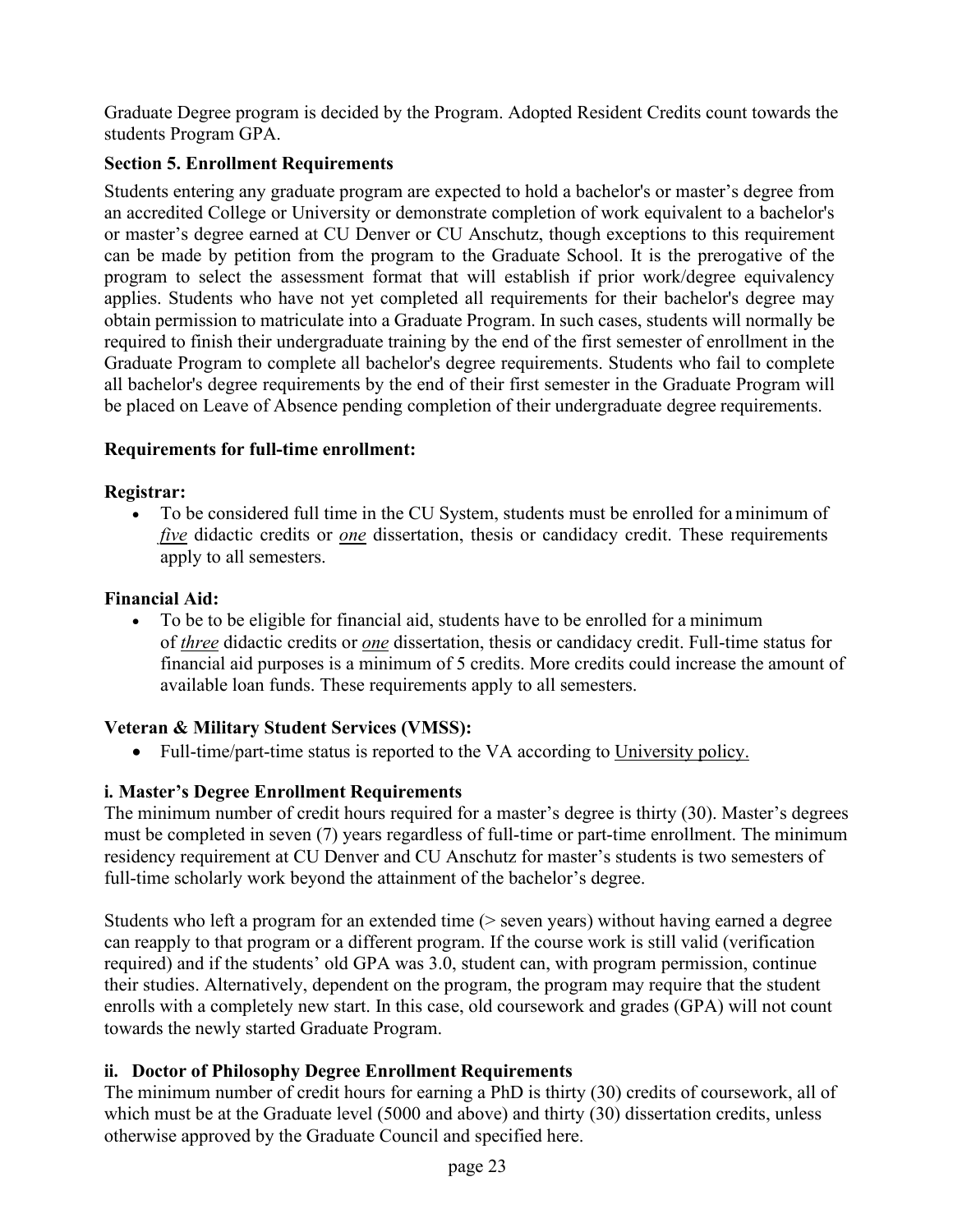Graduate Degree program is decided by the Program. Adopted Resident Credits count towards the students Program GPA.

# <span id="page-22-0"></span>**Section 5. Enrollment Requirements**

Students entering any graduate program are expected to hold a bachelor's or master's degree from an accredited College or University or demonstrate completion of work equivalent to a bachelor's or master's degree earned at CU Denver or CU Anschutz, though exceptions to this requirement can be made by petition from the program to the Graduate School. It is the prerogative of the program to select the assessment format that will establish if prior work/degree equivalency applies. Students who have not yet completed all requirements for their bachelor's degree may obtain permission to matriculate into a Graduate Program. In such cases, students will normally be required to finish their undergraduate training by the end of the first semester of enrollment in the Graduate Program to complete all bachelor's degree requirements. Students who fail to complete all bachelor's degree requirements by the end of their first semester in the Graduate Program will be placed on Leave of Absence pending completion of their undergraduate degree requirements.

# **Requirements for full-time enrollment:**

# **Registrar:**

• To be considered full time in the CU System, students must be enrolled for aminimum of *five* didactic credits or *one* dissertation, thesis or candidacy credit. These requirements apply to all semesters.

# **Financial Aid:**

• To be to be eligible for financial aid, students have to be enrolled for a minimum of *three* didactic credits or *one* dissertation, thesis or candidacy credit. Full-time status for financial aid purposes is a minimum of 5 credits. More credits could increase the amount of available loan funds. These requirements apply to all semesters.

# **Veteran & Military Student Services (VMSS):**

Full-time/part-time status is reported to the VA according to University policy.

# <span id="page-22-1"></span>**i. Master's Degree Enrollment Requirements**

The minimum number of credit hours required for a master's degree is thirty (30). Master's degrees must be completed in seven (7) years regardless of full-time or part-time enrollment. The minimum residency requirement at CU Denver and CU Anschutz for master's students is two semesters of full-time scholarly work beyond the attainment of the bachelor's degree.

Students who left a program for an extended time (> seven years) without having earned a degree can reapply to that program or a different program. If the course work is still valid (verification required) and if the students' old GPA was 3.0, student can, with program permission, continue their studies. Alternatively, dependent on the program, the program may require that the student enrolls with a completely new start. In this case, old coursework and grades (GPA) will not count towards the newly started Graduate Program.

# <span id="page-22-2"></span>**ii. Doctor of Philosophy Degree Enrollment Requirements**

The minimum number of credit hours for earning a PhD is thirty (30) credits of coursework, all of which must be at the Graduate level (5000 and above) and thirty (30) dissertation credits, unless otherwise approved by the Graduate Council and specified here.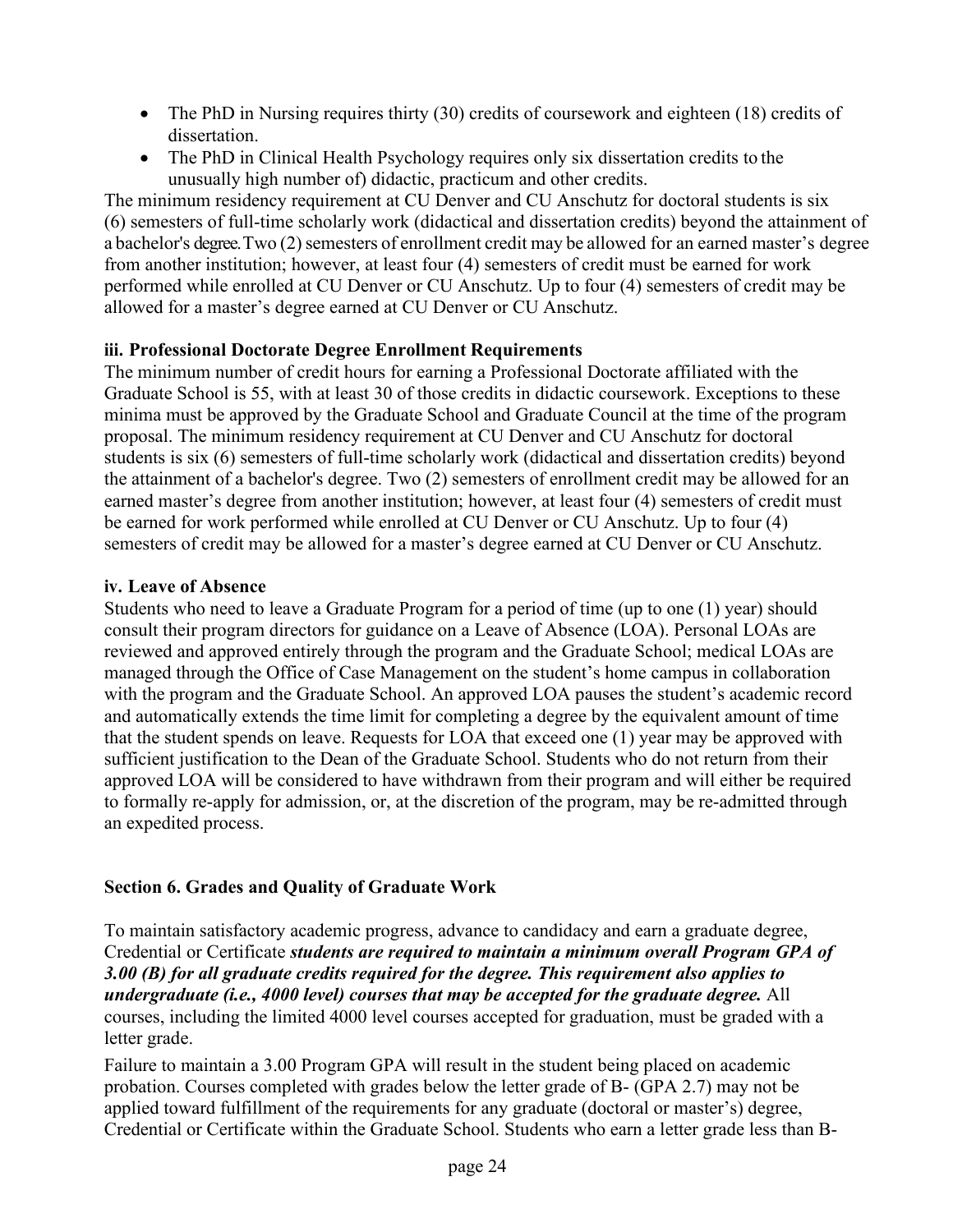- The PhD in Nursing requires thirty (30) credits of coursework and eighteen (18) credits of dissertation.
- The PhD in Clinical Health Psychology requires only six dissertation credits to the unusually high number of) didactic, practicum and other credits.

The minimum residency requirement at CU Denver and CU Anschutz for doctoral students is six (6) semesters of full-time scholarly work (didactical and dissertation credits) beyond the attainment of a bachelor's degree. Two (2) semesters of enrollment credit may be allowed for an earned master's degree from another institution; however, at least four (4) semesters of credit must be earned for work performed while enrolled at CU Denver or CU Anschutz. Up to four (4) semesters of credit may be allowed for a master's degree earned at CU Denver or CU Anschutz.

# <span id="page-23-0"></span>**iii. Professional Doctorate Degree Enrollment Requirements**

The minimum number of credit hours for earning a Professional Doctorate affiliated with the Graduate School is 55, with at least 30 of those credits in didactic coursework. Exceptions to these minima must be approved by the Graduate School and Graduate Council at the time of the program proposal. The minimum residency requirement at CU Denver and CU Anschutz for doctoral students is six (6) semesters of full-time scholarly work (didactical and dissertation credits) beyond the attainment of a bachelor's degree. Two (2) semesters of enrollment credit may be allowed for an earned master's degree from another institution; however, at least four (4) semesters of credit must be earned for work performed while enrolled at CU Denver or CU Anschutz. Up to four (4) semesters of credit may be allowed for a master's degree earned at CU Denver or CU Anschutz.

# <span id="page-23-1"></span>**iv. Leave of Absence**

Students who need to leave a Graduate Program for a period of time (up to one (1) year) should consult their program directors for guidance on a Leave of Absence (LOA). Personal LOAs are reviewed and approved entirely through the program and the Graduate School; medical LOAs are managed through the Office of Case Management on the student's home campus in collaboration with the program and the Graduate School. An approved LOA pauses the student's academic record and automatically extends the time limit for completing a degree by the equivalent amount of time that the student spends on leave. Requests for LOA that exceed one (1) year may be approved with sufficient justification to the Dean of the Graduate School. Students who do not return from their approved LOA will be considered to have withdrawn from their program and will either be required to formally re-apply for admission, or, at the discretion of the program, may be re-admitted through an expedited process.

# <span id="page-23-2"></span>**Section 6. Grades and Quality of Graduate Work**

To maintain satisfactory academic progress, advance to candidacy and earn a graduate degree, Credential or Certificate *students are required to maintain a minimum overall Program GPA of 3.00 (B) for all graduate credits required for the degree. This requirement also applies to undergraduate (i.e., 4000 level) courses that may be accepted for the graduate degree.* All courses, including the limited 4000 level courses accepted for graduation, must be graded with a letter grade.

Failure to maintain a 3.00 Program GPA will result in the student being placed on academic probation. Courses completed with grades below the letter grade of B- (GPA 2.7) may not be applied toward fulfillment of the requirements for any graduate (doctoral or master's) degree, Credential or Certificate within the Graduate School. Students who earn a letter grade less than B-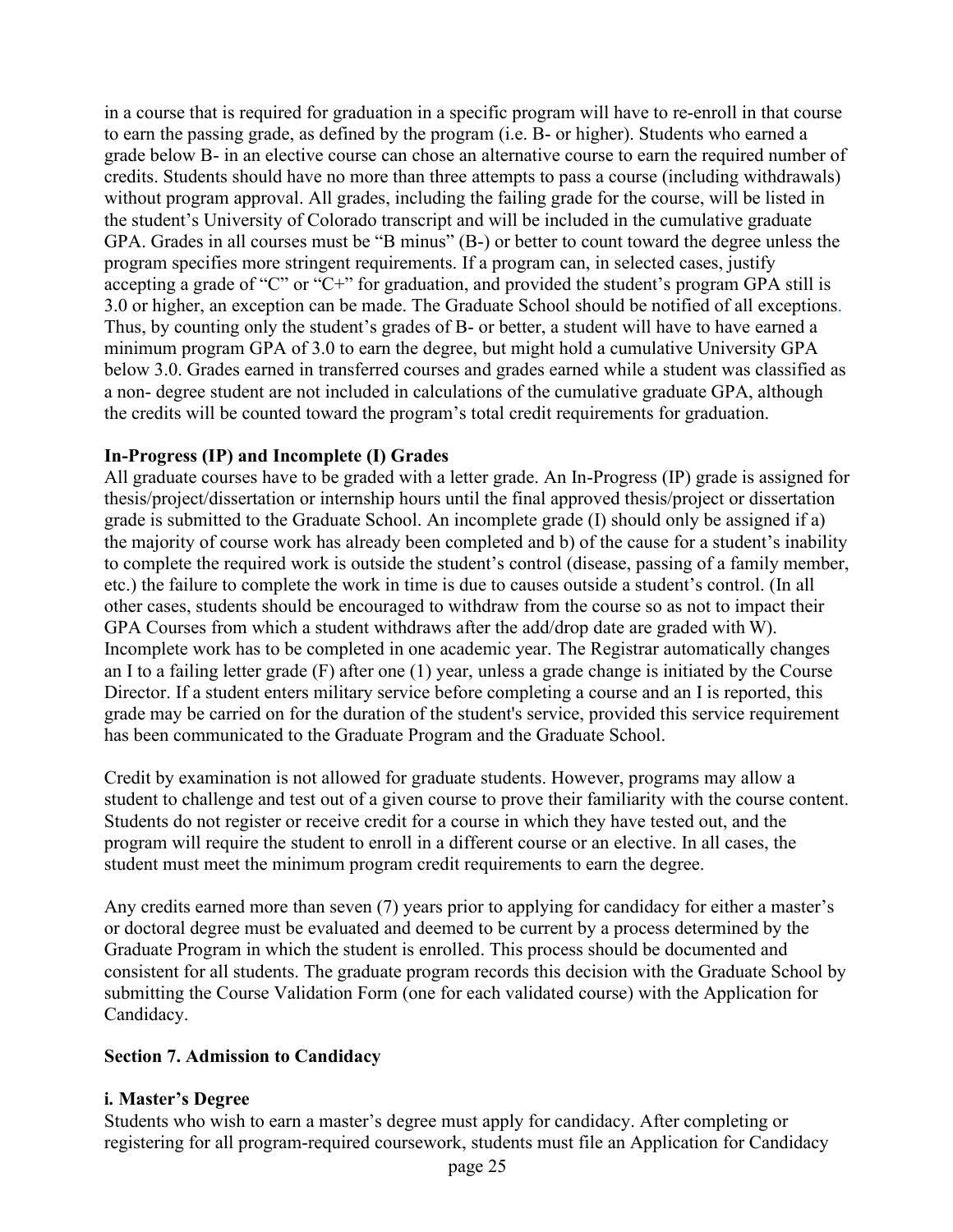in a course that is required for graduation in a specific program will have to re-enroll in that course to earn the passing grade, as defined by the program (i.e. B- or higher). Students who earned a grade below B- in an elective course can chose an alternative course to earn the required number of credits. Students should have no more than three attempts to pass a course (including withdrawals) without program approval. All grades, including the failing grade for the course, will be listed in the student's University of Colorado transcript and will be included in the cumulative graduate GPA. Grades in all courses must be "B minus" (B-) or better to count toward the degree unless the program specifies more stringent requirements. If a program can, in selected cases, justify accepting a grade of "C" or "C+" for graduation, and provided the student's program GPA still is 3.0 or higher, an exception can be made. The Graduate School should be notified of all exceptions. Thus, by counting only the student's grades of B- or better, a student will have to have earned a minimum program GPA of 3.0 to earn the degree, but might hold a cumulative University GPA below 3.0. Grades earned in transferred courses and grades earned while a student was classified as a non- degree student are not included in calculations of the cumulative graduate GPA, although the credits will be counted toward the program's total credit requirements for graduation.

## **In-Progress (IP) and Incomplete (I) Grades**

All graduate courses have to be graded with a letter grade. An In-Progress (IP) grade is assigned for thesis/project/dissertation or internship hours until the final approved thesis/project or dissertation grade is submitted to the Graduate School. An incomplete grade (I) should only be assigned if a) the majority of course work has already been completed and b) of the cause for a student's inability to complete the required work is outside the student's control (disease, passing of a family member, etc.) the failure to complete the work in time is due to causes outside a student's control. (In all other cases, students should be encouraged to withdraw from the course so as not to impact their GPA Courses from which a student withdraws after the add/drop date are graded with W). Incomplete work has to be completed in one academic year. The Registrar automatically changes an I to a failing letter grade (F) after one (1) year, unless a grade change is initiated by the Course Director. If a student enters military service before completing a course and an I is reported, this grade may be carried on for the duration of the student's service, provided this service requirement has been communicated to the Graduate Program and the Graduate School.

Credit by examination is not allowed for graduate students. However, programs may allow a student to challenge and test out of a given course to prove their familiarity with the course content. Students do not register or receive credit for a course in which they have tested out, and the program will require the student to enroll in a different course or an elective. In all cases, the student must meet the minimum program credit requirements to earn the degree.

Any credits earned more than seven (7) years prior to applying for candidacy for either a master's or doctoral degree must be evaluated and deemed to be current by a process determined by the Graduate Program in which the student is enrolled. This process should be documented and consistent for all students. The graduate program records this decision with the Graduate School by submitting the Course Validation Form (one for each validated course) with the Application for Candidacy.

## <span id="page-24-0"></span>**Section 7. Admission to Candidacy**

## <span id="page-24-1"></span>**i. Master's Degree**

Students who wish to earn a master's degree must apply for candidacy. After completing or registering for all program-required coursework, students must file an Application for Candidacy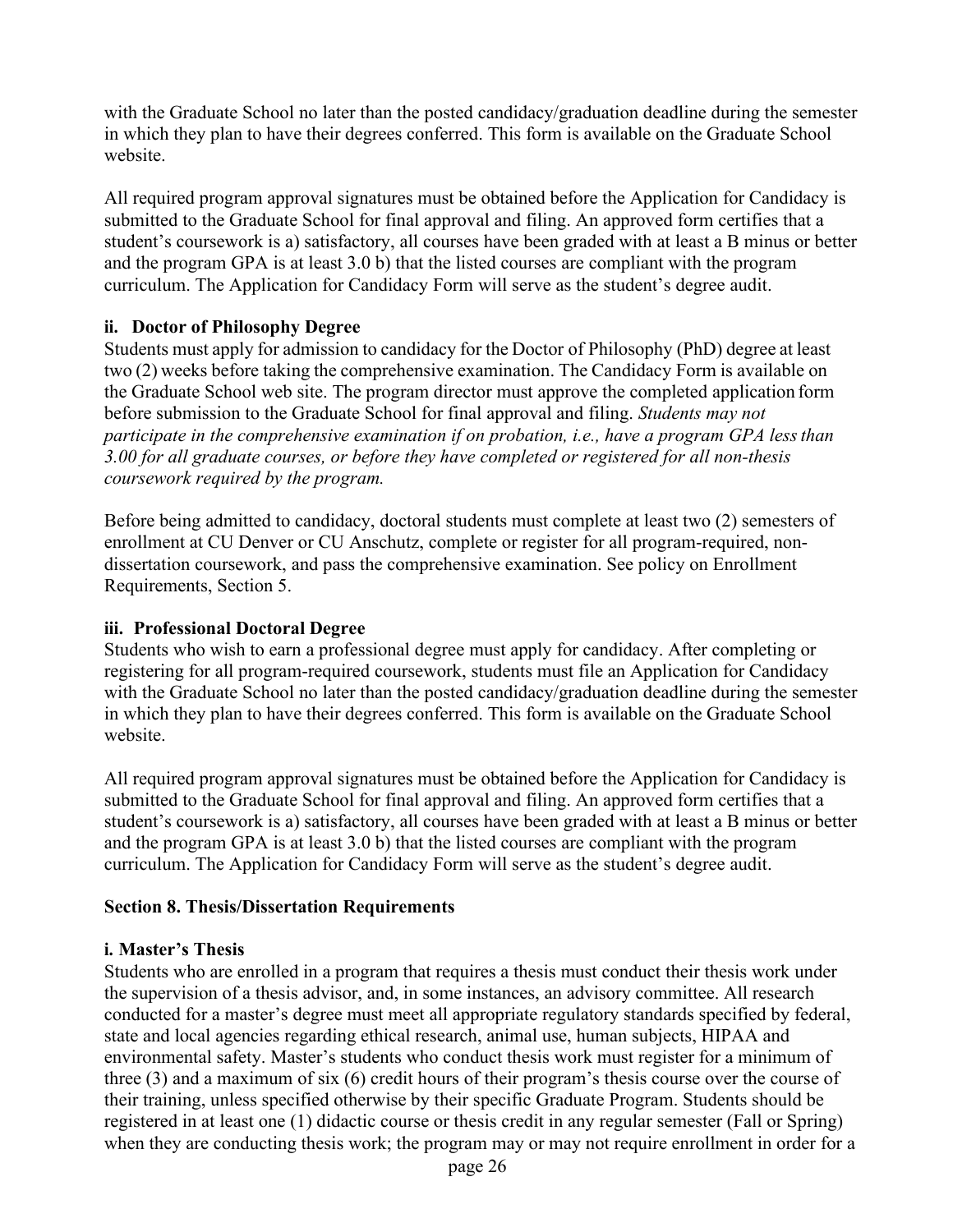with the Graduate School no later than the posted candidacy/graduation deadline during the semester in which they plan to have their degrees conferred. This form is available on the Graduate School website.

All required program approval signatures must be obtained before the Application for Candidacy is submitted to the Graduate School for final approval and filing. An approved form certifies that a student's coursework is a) satisfactory, all courses have been graded with at least a B minus or better and the program GPA is at least 3.0 b) that the listed courses are compliant with the program curriculum. The Application for Candidacy Form will serve as the student's degree audit.

# <span id="page-25-0"></span>**ii. Doctor of Philosophy Degree**

Students must apply for admission to candidacy for the Doctor of Philosophy (PhD) degree at least two (2) weeks before taking the comprehensive examination. The Candidacy Form is available on the Graduate School web site. The program director must approve the completed application form before submission to the Graduate School for final approval and filing. *Students may not participate in the comprehensive examination if on probation, i.e., have a program GPA lessthan 3.00 for all graduate courses, or before they have completed or registered for all non-thesis coursework required by the program.*

Before being admitted to candidacy, doctoral students must complete at least two (2) semesters of enrollment at CU Denver or CU Anschutz, complete or register for all program-required, nondissertation coursework, and pass the comprehensive examination. See policy on Enrollment Requirements, Section 5.

## <span id="page-25-1"></span>**iii. Professional Doctoral Degree**

Students who wish to earn a professional degree must apply for candidacy. After completing or registering for all program-required coursework, students must file an Application for Candidacy with the Graduate School no later than the posted candidacy/graduation deadline during the semester in which they plan to have their degrees conferred. This form is available on the Graduate School website.

All required program approval signatures must be obtained before the Application for Candidacy is submitted to the Graduate School for final approval and filing. An approved form certifies that a student's coursework is a) satisfactory, all courses have been graded with at least a B minus or better and the program GPA is at least 3.0 b) that the listed courses are compliant with the program curriculum. The Application for Candidacy Form will serve as the student's degree audit.

## <span id="page-25-2"></span>**Section 8. Thesis/Dissertation Requirements**

## <span id="page-25-3"></span>**i. Master's Thesis**

Students who are enrolled in a program that requires a thesis must conduct their thesis work under the supervision of a thesis advisor, and, in some instances, an advisory committee. All research conducted for a master's degree must meet all appropriate regulatory standards specified by federal, state and local agencies regarding ethical research, animal use, human subjects, HIPAA and environmental safety. Master's students who conduct thesis work must register for a minimum of three (3) and a maximum of six (6) credit hours of their program's thesis course over the course of their training, unless specified otherwise by their specific Graduate Program. Students should be registered in at least one (1) didactic course or thesis credit in any regular semester (Fall or Spring) when they are conducting thesis work; the program may or may not require enrollment in order for a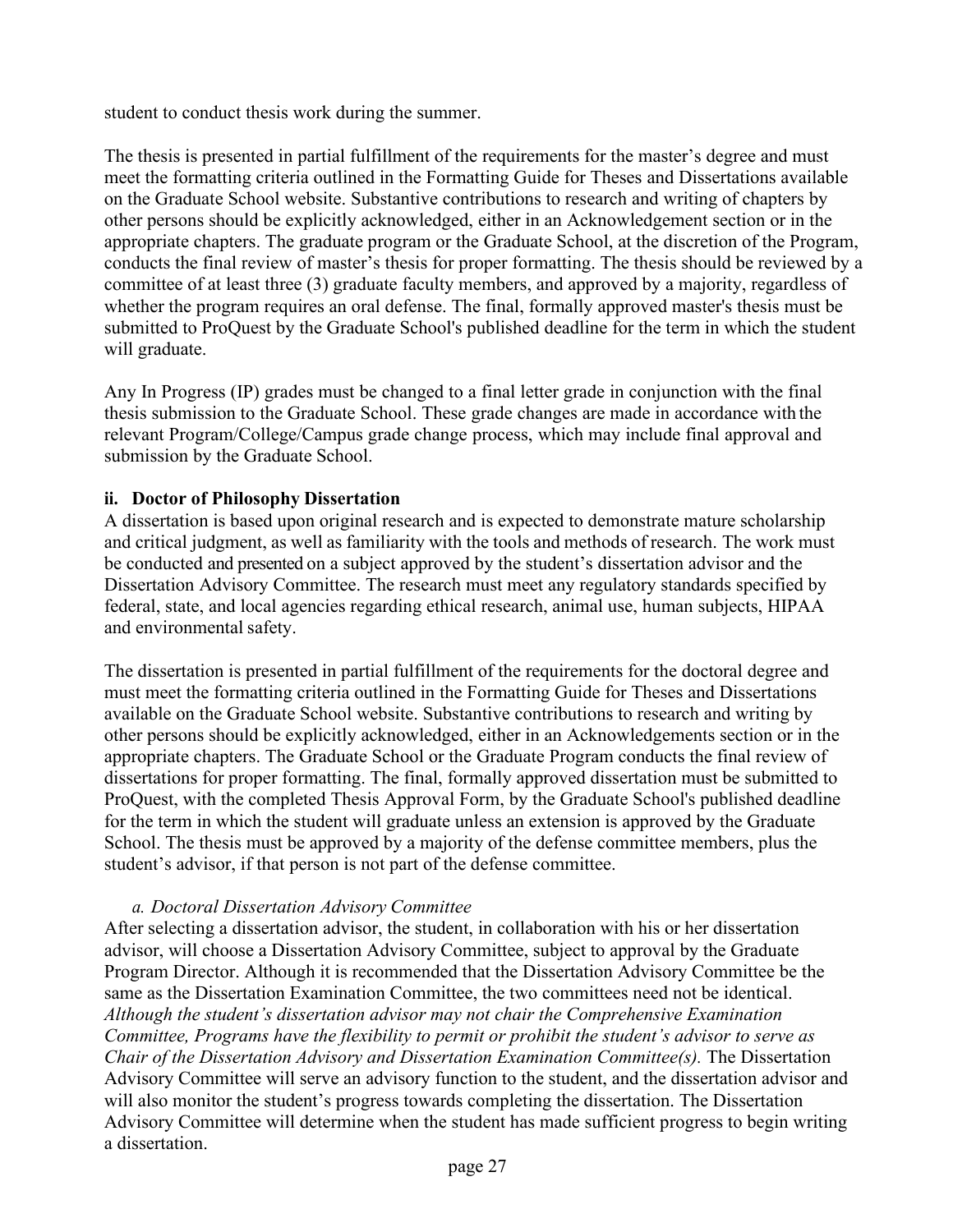student to conduct thesis work during the summer.

The thesis is presented in partial fulfillment of the requirements for the master's degree and must meet the formatting criteria outlined in the Formatting Guide for Theses and Dissertations available on the Graduate School website. Substantive contributions to research and writing of chapters by other persons should be explicitly acknowledged, either in an Acknowledgement section or in the appropriate chapters. The graduate program or the Graduate School, at the discretion of the Program, conducts the final review of master's thesis for proper formatting. The thesis should be reviewed by a committee of at least three (3) graduate faculty members, and approved by a majority, regardless of whether the program requires an oral defense. The final, formally approved master's thesis must be submitted to ProQuest by the Graduate School's published deadline for the term in which the student will graduate.

Any In Progress (IP) grades must be changed to a final letter grade in conjunction with the final thesis submission to the Graduate School. These grade changes are made in accordance with the relevant Program/College/Campus grade change process, which may include final approval and submission by the Graduate School.

## <span id="page-26-0"></span>**ii. Doctor of Philosophy Dissertation**

A dissertation is based upon original research and is expected to demonstrate mature scholarship and critical judgment, as well as familiarity with the tools and methods of research. The work must be conducted and presented on a subject approved by the student's dissertation advisor and the Dissertation Advisory Committee. The research must meet any regulatory standards specified by federal, state, and local agencies regarding ethical research, animal use, human subjects, HIPAA and environmental safety.

The dissertation is presented in partial fulfillment of the requirements for the doctoral degree and must meet the formatting criteria outlined in the Formatting Guide for Theses and Dissertations available on the Graduate School website. Substantive contributions to research and writing by other persons should be explicitly acknowledged, either in an Acknowledgements section or in the appropriate chapters. The Graduate School or the Graduate Program conducts the final review of dissertations for proper formatting. The final, formally approved dissertation must be submitted to ProQuest, with the completed Thesis Approval Form, by the Graduate School's published deadline for the term in which the student will graduate unless an extension is approved by the Graduate School. The thesis must be approved by a majority of the defense committee members, plus the student's advisor, if that person is not part of the defense committee.

#### *a. Doctoral Dissertation Advisory Committee*

<span id="page-26-1"></span>After selecting a dissertation advisor, the student, in collaboration with his or her dissertation advisor, will choose a Dissertation Advisory Committee, subject to approval by the Graduate Program Director. Although it is recommended that the Dissertation Advisory Committee be the same as the Dissertation Examination Committee, the two committees need not be identical. *Although the student's dissertation advisor may not chair the Comprehensive Examination Committee, Programs have the flexibility to permit or prohibit the student's advisor to serve as Chair of the Dissertation Advisory and Dissertation Examination Committee(s).* The Dissertation Advisory Committee will serve an advisory function to the student, and the dissertation advisor and will also monitor the student's progress towards completing the dissertation. The Dissertation Advisory Committee will determine when the student has made sufficient progress to begin writing a dissertation.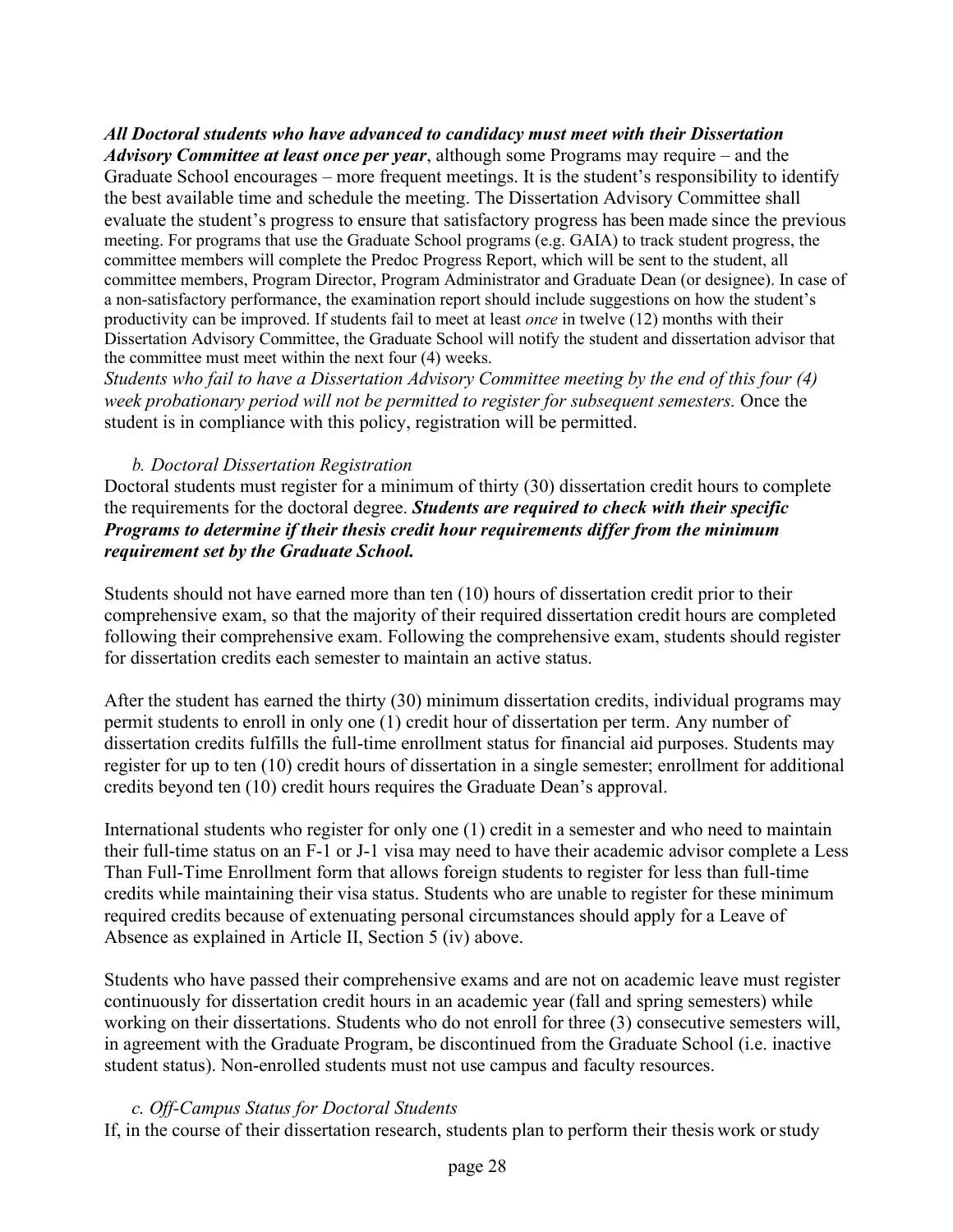*All Doctoral students who have advanced to candidacy must meet with their Dissertation Advisory Committee at least once per year*, although some Programs may require – and the Graduate School encourages – more frequent meetings. It is the student's responsibility to identify the best available time and schedule the meeting. The Dissertation Advisory Committee shall evaluate the student's progress to ensure that satisfactory progress has been made since the previous meeting. For programs that use the Graduate School programs (e.g. GAIA) to track student progress, the committee members will complete the Predoc Progress Report, which will be sent to the student, all committee members, Program Director, Program Administrator and Graduate Dean (or designee). In case of a non-satisfactory performance, the examination report should include suggestions on how the student's productivity can be improved. If students fail to meet at least *once* in twelve (12) months with their Dissertation Advisory Committee, the Graduate School will notify the student and dissertation advisor that the committee must meet within the next four (4) weeks.

*Students who fail to have a Dissertation Advisory Committee meeting by the end of this four (4) week probationary period will not be permitted to register for subsequent semesters.* Once the student is in compliance with this policy, registration will be permitted.

#### *b. Doctoral Dissertation Registration*

<span id="page-27-0"></span>Doctoral students must register for a minimum of thirty (30) dissertation credit hours to complete the requirements for the doctoral degree. *Students are required to check with their specific Programs to determine if their thesis credit hour requirements differ from the minimum requirement set by the Graduate School.*

Students should not have earned more than ten (10) hours of dissertation credit prior to their comprehensive exam, so that the majority of their required dissertation credit hours are completed following their comprehensive exam. Following the comprehensive exam, students should register for dissertation credits each semester to maintain an active status.

After the student has earned the thirty (30) minimum dissertation credits, individual programs may permit students to enroll in only one (1) credit hour of dissertation per term. Any number of dissertation credits fulfills the full-time enrollment status for financial aid purposes. Students may register for up to ten (10) credit hours of dissertation in a single semester; enrollment for additional credits beyond ten (10) credit hours requires the Graduate Dean's approval.

International students who register for only one (1) credit in a semester and who need to maintain their full-time status on an F-1 or J-1 visa may need to have their academic advisor complete a Less Than Full-Time Enrollment form that allows foreign students to register for less than full-time credits while maintaining their visa status. Students who are unable to register for these minimum required credits because of extenuating personal circumstances should apply for a Leave of Absence as explained in Article II, Section 5 (iv) above.

Students who have passed their comprehensive exams and are not on academic leave must register continuously for dissertation credit hours in an academic year (fall and spring semesters) while working on their dissertations. Students who do not enroll for three (3) consecutive semesters will, in agreement with the Graduate Program, be discontinued from the Graduate School (i.e. inactive student status). Non-enrolled students must not use campus and faculty resources.

#### *c. Off-Campus Status for Doctoral Students*

<span id="page-27-1"></span>If, in the course of their dissertation research, students plan to perform their thesis work orstudy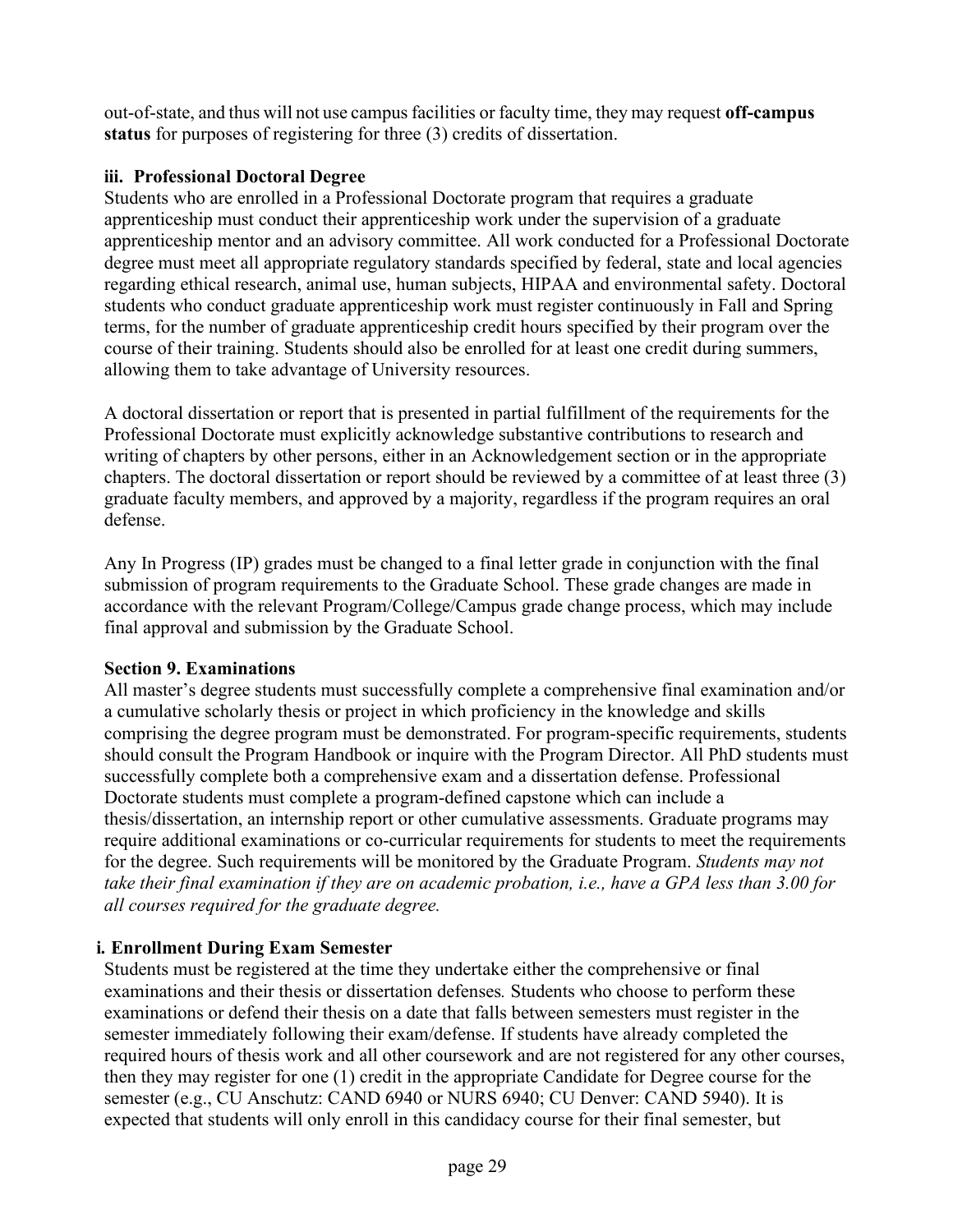out-of-state, and thus will not use campusfacilities or faculty time, they may request **off-campus status** for purposes of registering for three (3) credits of dissertation.

# <span id="page-28-0"></span>**iii. Professional Doctoral Degree**

Students who are enrolled in a Professional Doctorate program that requires a graduate apprenticeship must conduct their apprenticeship work under the supervision of a graduate apprenticeship mentor and an advisory committee. All work conducted for a Professional Doctorate degree must meet all appropriate regulatory standards specified by federal, state and local agencies regarding ethical research, animal use, human subjects, HIPAA and environmental safety. Doctoral students who conduct graduate apprenticeship work must register continuously in Fall and Spring terms, for the number of graduate apprenticeship credit hours specified by their program over the course of their training. Students should also be enrolled for at least one credit during summers, allowing them to take advantage of University resources.

A doctoral dissertation or report that is presented in partial fulfillment of the requirements for the Professional Doctorate must explicitly acknowledge substantive contributions to research and writing of chapters by other persons, either in an Acknowledgement section or in the appropriate chapters. The doctoral dissertation or report should be reviewed by a committee of at least three (3) graduate faculty members, and approved by a majority, regardless if the program requires an oral defense.

Any In Progress (IP) grades must be changed to a final letter grade in conjunction with the final submission of program requirements to the Graduate School. These grade changes are made in accordance with the relevant Program/College/Campus grade change process, which may include final approval and submission by the Graduate School.

## <span id="page-28-1"></span>**Section 9. Examinations**

All master's degree students must successfully complete a comprehensive final examination and/or a cumulative scholarly thesis or project in which proficiency in the knowledge and skills comprising the degree program must be demonstrated. For program-specific requirements, students should consult the Program Handbook or inquire with the Program Director. All PhD students must successfully complete both a comprehensive exam and a dissertation defense. Professional Doctorate students must complete a program-defined capstone which can include a thesis/dissertation, an internship report or other cumulative assessments. Graduate programs may require additional examinations or co-curricular requirements for students to meet the requirements for the degree. Such requirements will be monitored by the Graduate Program. *Students may not take their final examination if they are on academic probation, i.e., have a GPA less than 3.00 for all courses required for the graduate degree.*

# <span id="page-28-2"></span>**i. Enrollment During Exam Semester**

Students must be registered at the time they undertake either the comprehensive or final examinations and their thesis or dissertation defenses*.* Students who choose to perform these examinations or defend their thesis on a date that falls between semesters must register in the semester immediately following their exam/defense. If students have already completed the required hours of thesis work and all other coursework and are not registered for any other courses, then they may register for one (1) credit in the appropriate Candidate for Degree course for the semester (e.g., CU Anschutz: CAND 6940 or NURS 6940; CU Denver: CAND 5940). It is expected that students will only enroll in this candidacy course for their final semester, but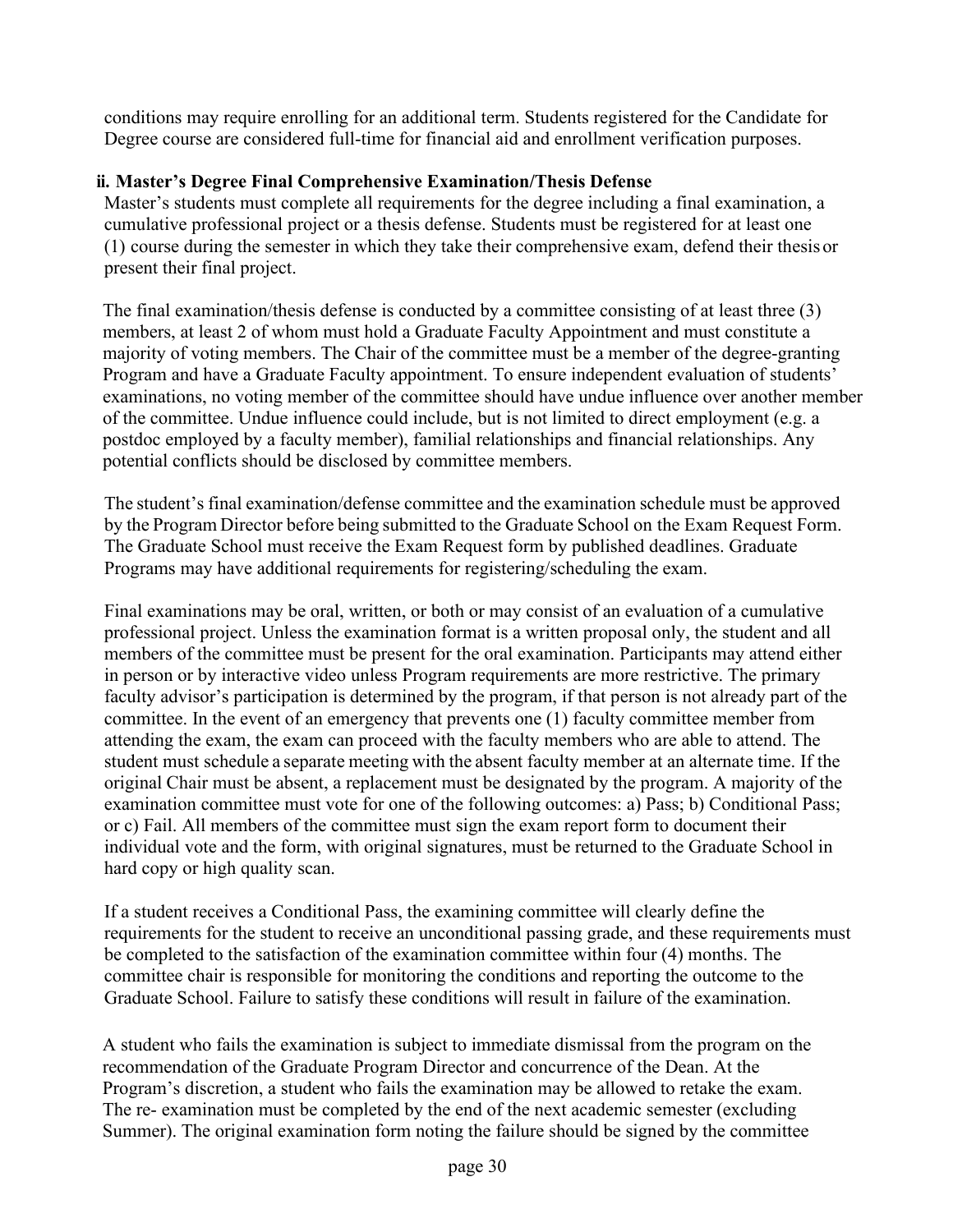conditions may require enrolling for an additional term. Students registered for the Candidate for Degree course are considered full-time for financial aid and enrollment verification purposes.

## <span id="page-29-0"></span>**ii. Master's Degree Final Comprehensive Examination/Thesis Defense**

Master's students must complete all requirements for the degree including a final examination, a cumulative professional project or a thesis defense. Students must be registered for at least one (1) course during the semester in which they take their comprehensive exam, defend their thesis or present their final project.

The final examination/thesis defense is conducted by a committee consisting of at least three (3) members, at least 2 of whom must hold a Graduate Faculty Appointment and must constitute a majority of voting members. The Chair of the committee must be a member of the degree-granting Program and have a Graduate Faculty appointment. To ensure independent evaluation of students' examinations, no voting member of the committee should have undue influence over another member of the committee. Undue influence could include, but is not limited to direct employment (e.g. a postdoc employed by a faculty member), familial relationships and financial relationships. Any potential conflicts should be disclosed by committee members.

The student's final examination/defense committee and the examination schedule must be approved by the Program Director before being submitted to the Graduate School on the Exam Request Form. The Graduate School must receive the Exam Request form by published deadlines. Graduate Programs may have additional requirements for registering/scheduling the exam.

Final examinations may be oral, written, or both or may consist of an evaluation of a cumulative professional project. Unless the examination format is a written proposal only, the student and all members of the committee must be present for the oral examination. Participants may attend either in person or by interactive video unless Program requirements are more restrictive. The primary faculty advisor's participation is determined by the program, if that person is not already part of the committee. In the event of an emergency that prevents one (1) faculty committee member from attending the exam, the exam can proceed with the faculty members who are able to attend. The student must schedule a separate meeting with the absent faculty member at an alternate time. If the original Chair must be absent, a replacement must be designated by the program. A majority of the examination committee must vote for one of the following outcomes: a) Pass; b) Conditional Pass; or c) Fail. All members of the committee must sign the exam report form to document their individual vote and the form, with original signatures, must be returned to the Graduate School in hard copy or high quality scan.

If a student receives a Conditional Pass, the examining committee will clearly define the requirements for the student to receive an unconditional passing grade, and these requirements must be completed to the satisfaction of the examination committee within four (4) months. The committee chair is responsible for monitoring the conditions and reporting the outcome to the Graduate School. Failure to satisfy these conditions will result in failure of the examination.

A student who fails the examination is subject to immediate dismissal from the program on the recommendation of the Graduate Program Director and concurrence of the Dean. At the Program's discretion, a student who fails the examination may be allowed to retake the exam. The re- examination must be completed by the end of the next academic semester (excluding Summer). The original examination form noting the failure should be signed by the committee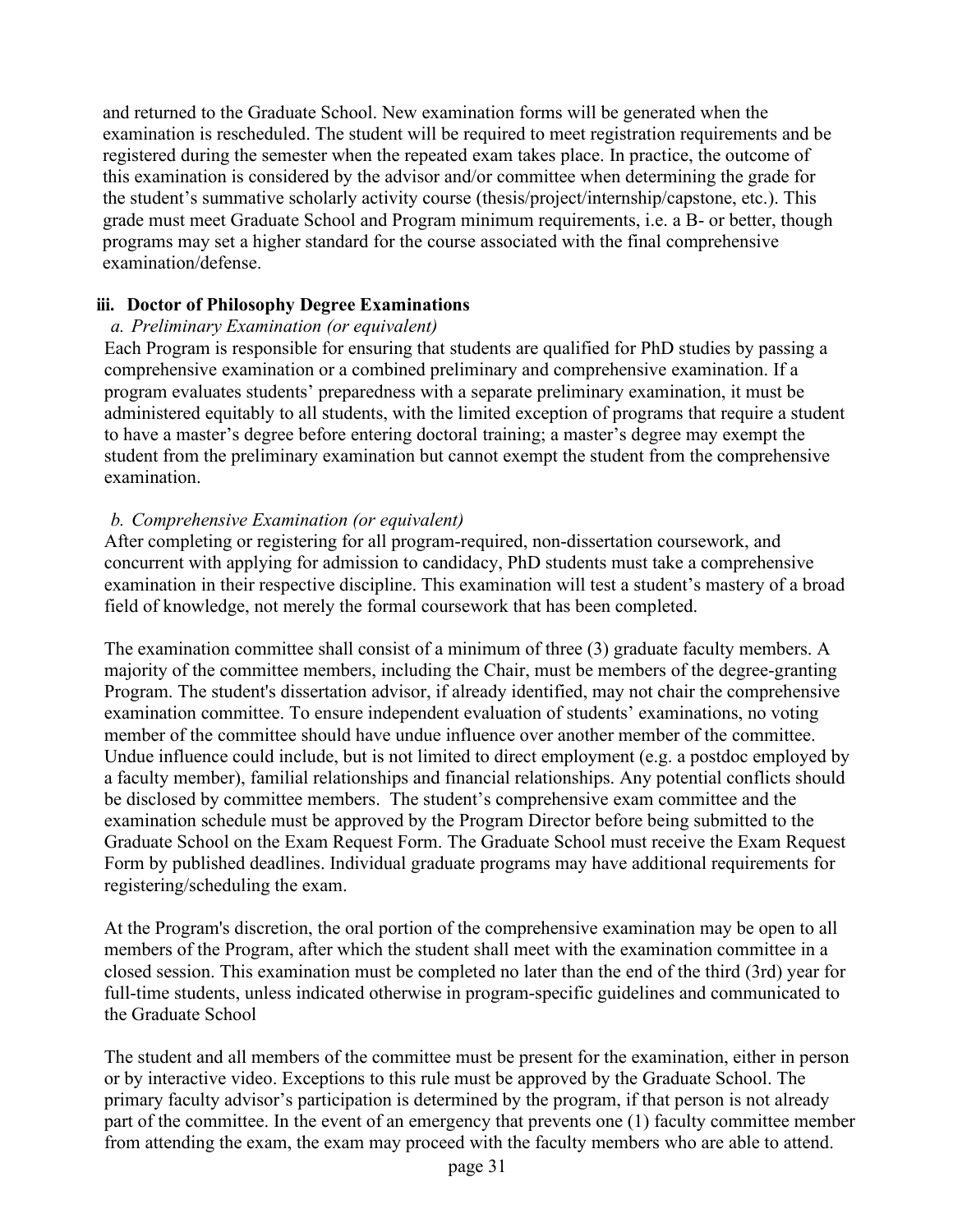and returned to the Graduate School. New examination forms will be generated when the examination is rescheduled. The student will be required to meet registration requirements and be registered during the semester when the repeated exam takes place. In practice, the outcome of this examination is considered by the advisor and/or committee when determining the grade for the student's summative scholarly activity course (thesis/project/internship/capstone, etc.). This grade must meet Graduate School and Program minimum requirements, i.e. a B- or better, though programs may set a higher standard for the course associated with the final comprehensive examination/defense.

#### <span id="page-30-0"></span>**iii. Doctor of Philosophy Degree Examinations**

#### <span id="page-30-1"></span>*a. Preliminary Examination (or equivalent)*

Each Program is responsible for ensuring that students are qualified for PhD studies by passing a comprehensive examination or a combined preliminary and comprehensive examination. If a program evaluates students' preparedness with a separate preliminary examination, it must be administered equitably to all students, with the limited exception of programs that require a student to have a master's degree before entering doctoral training; a master's degree may exempt the student from the preliminary examination but cannot exempt the student from the comprehensive examination.

## <span id="page-30-2"></span>*b. Comprehensive Examination (or equivalent)*

After completing or registering for all program-required, non-dissertation coursework, and concurrent with applying for admission to candidacy, PhD students must take a comprehensive examination in their respective discipline. This examination will test a student's mastery of a broad field of knowledge, not merely the formal coursework that has been completed.

The examination committee shall consist of a minimum of three (3) graduate faculty members. A majority of the committee members, including the Chair, must be members of the degree-granting Program. The student's dissertation advisor, if already identified, may not chair the comprehensive examination committee. To ensure independent evaluation of students' examinations, no voting member of the committee should have undue influence over another member of the committee. Undue influence could include, but is not limited to direct employment (e.g. a postdoc employed by a faculty member), familial relationships and financial relationships. Any potential conflicts should be disclosed by committee members. The student's comprehensive exam committee and the examination schedule must be approved by the Program Director before being submitted to the Graduate School on the Exam Request Form. The Graduate School must receive the Exam Request Form by published deadlines. Individual graduate programs may have additional requirements for registering/scheduling the exam.

At the Program's discretion, the oral portion of the comprehensive examination may be open to all members of the Program, after which the student shall meet with the examination committee in a closed session. This examination must be completed no later than the end of the third (3rd) year for full-time students, unless indicated otherwise in program-specific guidelines and communicated to the Graduate School

The student and all members of the committee must be present for the examination, either in person or by interactive video. Exceptions to this rule must be approved by the Graduate School. The primary faculty advisor's participation is determined by the program, if that person is not already part of the committee. In the event of an emergency that prevents one (1) faculty committee member from attending the exam, the exam may proceed with the faculty members who are able to attend.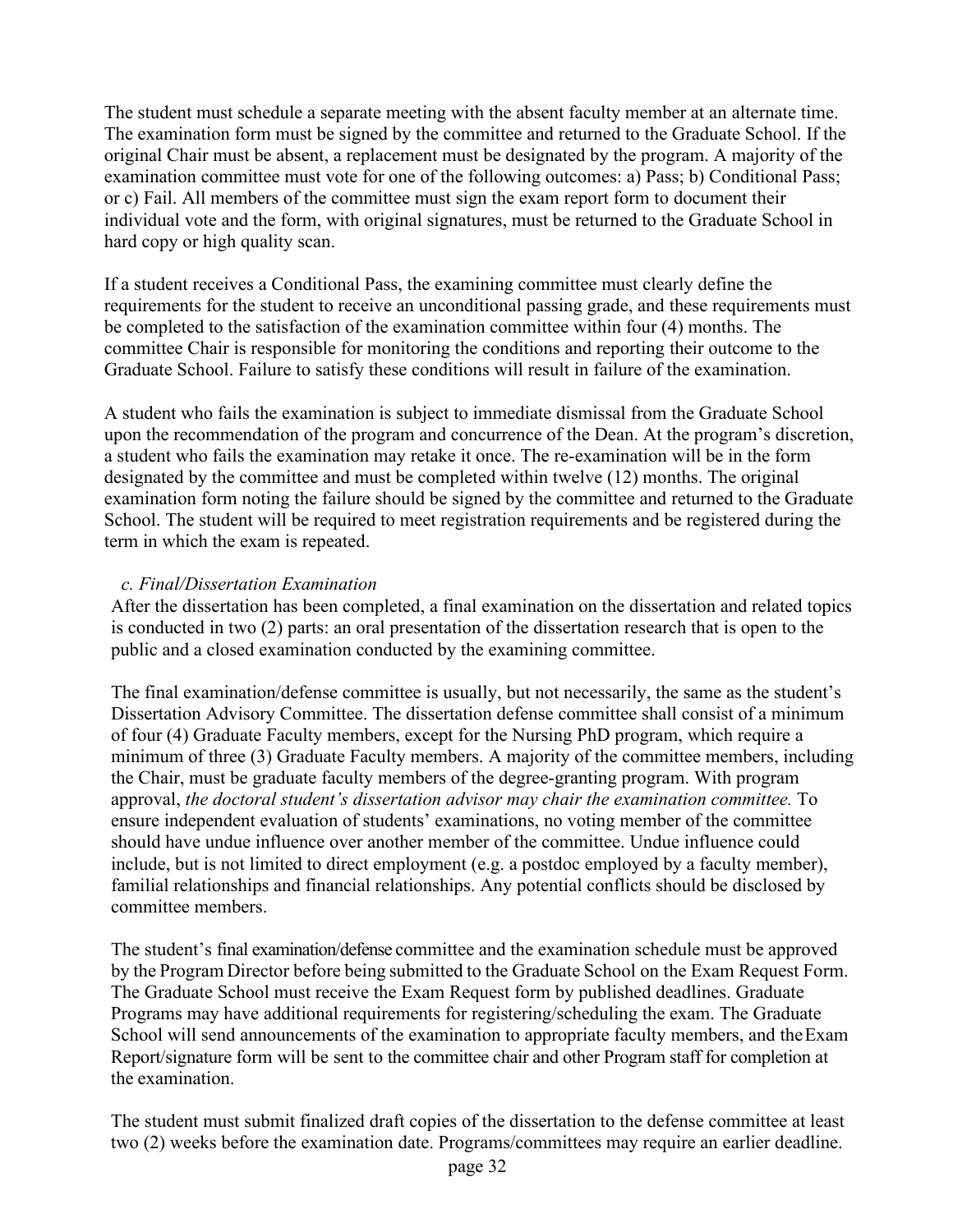The student must schedule a separate meeting with the absent faculty member at an alternate time. The examination form must be signed by the committee and returned to the Graduate School. If the original Chair must be absent, a replacement must be designated by the program. A majority of the examination committee must vote for one of the following outcomes: a) Pass; b) Conditional Pass; or c) Fail. All members of the committee must sign the exam report form to document their individual vote and the form, with original signatures, must be returned to the Graduate School in hard copy or high quality scan.

If a student receives a Conditional Pass, the examining committee must clearly define the requirements for the student to receive an unconditional passing grade, and these requirements must be completed to the satisfaction of the examination committee within four (4) months. The committee Chair is responsible for monitoring the conditions and reporting their outcome to the Graduate School. Failure to satisfy these conditions will result in failure of the examination.

A student who fails the examination is subject to immediate dismissal from the Graduate School upon the recommendation of the program and concurrence of the Dean. At the program's discretion, a student who fails the examination may retake it once. The re-examination will be in the form designated by the committee and must be completed within twelve (12) months. The original examination form noting the failure should be signed by the committee and returned to the Graduate School. The student will be required to meet registration requirements and be registered during the term in which the exam is repeated.

## *c. Final/Dissertation Examination*

<span id="page-31-0"></span>After the dissertation has been completed, a final examination on the dissertation and related topics is conducted in two (2) parts: an oral presentation of the dissertation research that is open to the public and a closed examination conducted by the examining committee.

The final examination/defense committee is usually, but not necessarily, the same as the student's Dissertation Advisory Committee. The dissertation defense committee shall consist of a minimum of four (4) Graduate Faculty members, except for the Nursing PhD program, which require a minimum of three (3) Graduate Faculty members. A majority of the committee members, including the Chair, must be graduate faculty members of the degree-granting program. With program approval, *the doctoral student's dissertation advisor may chair the examination committee.* To ensure independent evaluation of students' examinations, no voting member of the committee should have undue influence over another member of the committee. Undue influence could include, but is not limited to direct employment (e.g. a postdoc employed by a faculty member), familial relationships and financial relationships. Any potential conflicts should be disclosed by committee members.

The student's final examination/defense committee and the examination schedule must be approved by the Program Director before being submitted to the Graduate School on the Exam Request Form. The Graduate School must receive the Exam Request form by published deadlines. Graduate Programs may have additional requirements for registering/scheduling the exam. The Graduate School will send announcements of the examination to appropriate faculty members, and the Exam Report/signature form will be sent to the committee chair and other Program staff for completion at the examination.

The student must submit finalized draft copies of the dissertation to the defense committee at least two (2) weeks before the examination date. Programs/committees may require an earlier deadline.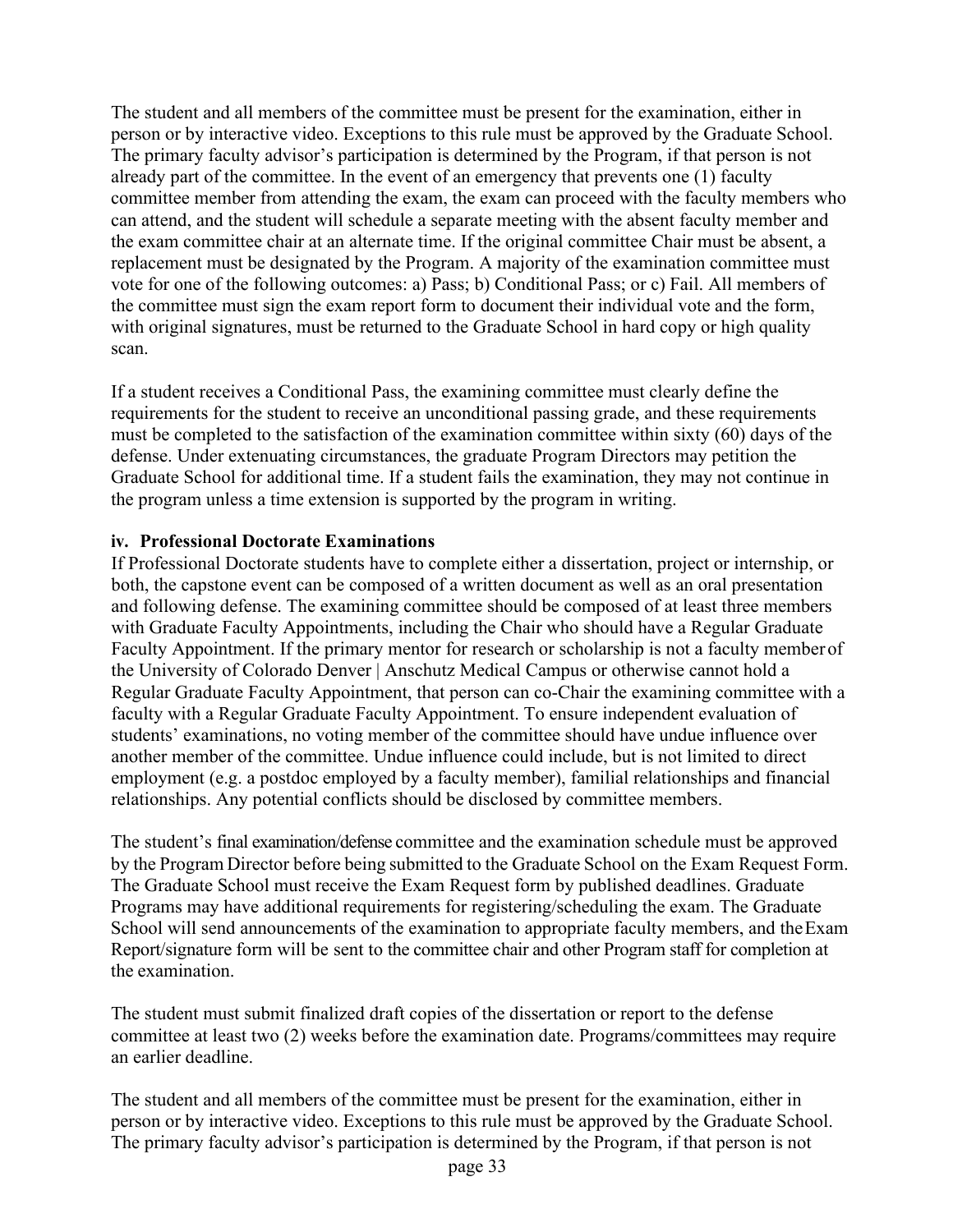The student and all members of the committee must be present for the examination, either in person or by interactive video. Exceptions to this rule must be approved by the Graduate School. The primary faculty advisor's participation is determined by the Program, if that person is not already part of the committee. In the event of an emergency that prevents one (1) faculty committee member from attending the exam, the exam can proceed with the faculty members who can attend, and the student will schedule a separate meeting with the absent faculty member and the exam committee chair at an alternate time. If the original committee Chair must be absent, a replacement must be designated by the Program. A majority of the examination committee must vote for one of the following outcomes: a) Pass; b) Conditional Pass; or c) Fail. All members of the committee must sign the exam report form to document their individual vote and the form, with original signatures, must be returned to the Graduate School in hard copy or high quality scan.

If a student receives a Conditional Pass, the examining committee must clearly define the requirements for the student to receive an unconditional passing grade, and these requirements must be completed to the satisfaction of the examination committee within sixty (60) days of the defense. Under extenuating circumstances, the graduate Program Directors may petition the Graduate School for additional time. If a student fails the examination, they may not continue in the program unless a time extension is supported by the program in writing.

#### <span id="page-32-0"></span>**iv. Professional Doctorate Examinations**

If Professional Doctorate students have to complete either a dissertation, project or internship, or both, the capstone event can be composed of a written document as well as an oral presentation and following defense. The examining committee should be composed of at least three members with Graduate Faculty Appointments, including the Chair who should have a Regular Graduate Faculty Appointment. If the primary mentor for research or scholarship is not a faculty memberof the University of Colorado Denver | Anschutz Medical Campus or otherwise cannot hold a Regular Graduate Faculty Appointment, that person can co-Chair the examining committee with a faculty with a Regular Graduate Faculty Appointment. To ensure independent evaluation of students' examinations, no voting member of the committee should have undue influence over another member of the committee. Undue influence could include, but is not limited to direct employment (e.g. a postdoc employed by a faculty member), familial relationships and financial relationships. Any potential conflicts should be disclosed by committee members.

The student's final examination/defense committee and the examination schedule must be approved by the Program Director before being submitted to the Graduate School on the Exam Request Form. The Graduate School must receive the Exam Request form by published deadlines. Graduate Programs may have additional requirements for registering/scheduling the exam. The Graduate School will send announcements of the examination to appropriate faculty members, and the Exam Report/signature form will be sent to the committee chair and other Program staff for completion at the examination.

The student must submit finalized draft copies of the dissertation or report to the defense committee at least two (2) weeks before the examination date. Programs/committees may require an earlier deadline.

The student and all members of the committee must be present for the examination, either in person or by interactive video. Exceptions to this rule must be approved by the Graduate School. The primary faculty advisor's participation is determined by the Program, if that person is not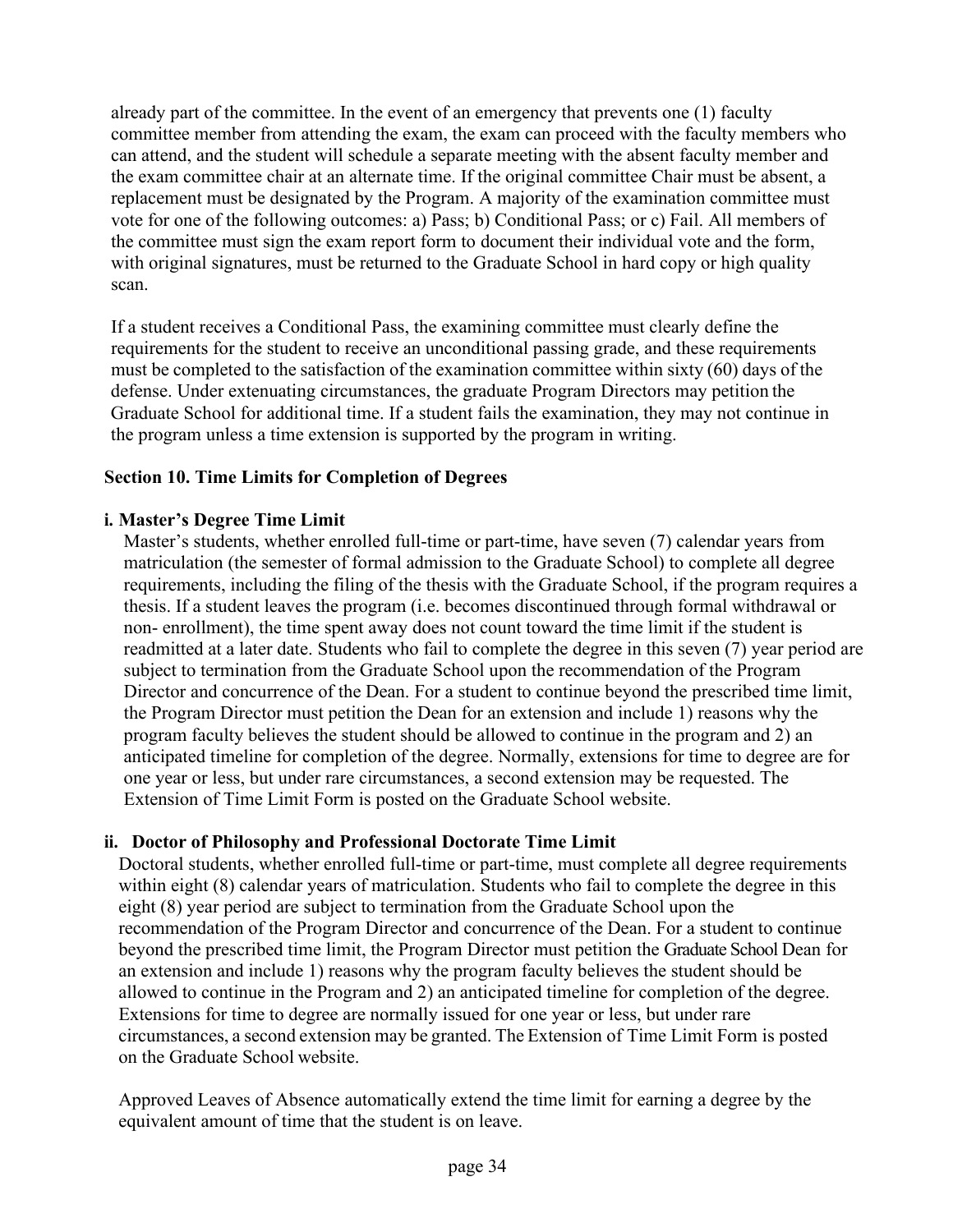already part of the committee. In the event of an emergency that prevents one (1) faculty committee member from attending the exam, the exam can proceed with the faculty members who can attend, and the student will schedule a separate meeting with the absent faculty member and the exam committee chair at an alternate time. If the original committee Chair must be absent, a replacement must be designated by the Program. A majority of the examination committee must vote for one of the following outcomes: a) Pass; b) Conditional Pass; or c) Fail. All members of the committee must sign the exam report form to document their individual vote and the form, with original signatures, must be returned to the Graduate School in hard copy or high quality scan.

If a student receives a Conditional Pass, the examining committee must clearly define the requirements for the student to receive an unconditional passing grade, and these requirements must be completed to the satisfaction of the examination committee within sixty (60) days of the defense. Under extenuating circumstances, the graduate Program Directors may petition the Graduate School for additional time. If a student fails the examination, they may not continue in the program unless a time extension is supported by the program in writing.

## <span id="page-33-0"></span>**Section 10. Time Limits for Completion of Degrees**

## <span id="page-33-1"></span>**i. Master's Degree Time Limit**

Master's students, whether enrolled full-time or part-time, have seven (7) calendar years from matriculation (the semester of formal admission to the Graduate School) to complete all degree requirements, including the filing of the thesis with the Graduate School, if the program requires a thesis. If a student leaves the program (i.e. becomes discontinued through formal withdrawal or non- enrollment), the time spent away does not count toward the time limit if the student is readmitted at a later date. Students who fail to complete the degree in this seven (7) year period are subject to termination from the Graduate School upon the recommendation of the Program Director and concurrence of the Dean. For a student to continue beyond the prescribed time limit, the Program Director must petition the Dean for an extension and include 1) reasons why the program faculty believes the student should be allowed to continue in the program and 2) an anticipated timeline for completion of the degree. Normally, extensions for time to degree are for one year or less, but under rare circumstances, a second extension may be requested. The Extension of Time Limit Form is posted on the Graduate School website.

## <span id="page-33-2"></span>**ii. Doctor of Philosophy and Professional Doctorate Time Limit**

Doctoral students, whether enrolled full-time or part-time, must complete all degree requirements within eight (8) calendar years of matriculation. Students who fail to complete the degree in this eight (8) year period are subject to termination from the Graduate School upon the recommendation of the Program Director and concurrence of the Dean. For a student to continue beyond the prescribed time limit, the Program Director must petition the Graduate School Dean for an extension and include 1) reasons why the program faculty believes the student should be allowed to continue in the Program and 2) an anticipated timeline for completion of the degree. Extensions for time to degree are normally issued for one year or less, but under rare circumstances, a second extension may be granted. The Extension of Time Limit Form is posted on the Graduate School website.

Approved Leaves of Absence automatically extend the time limit for earning a degree by the equivalent amount of time that the student is on leave.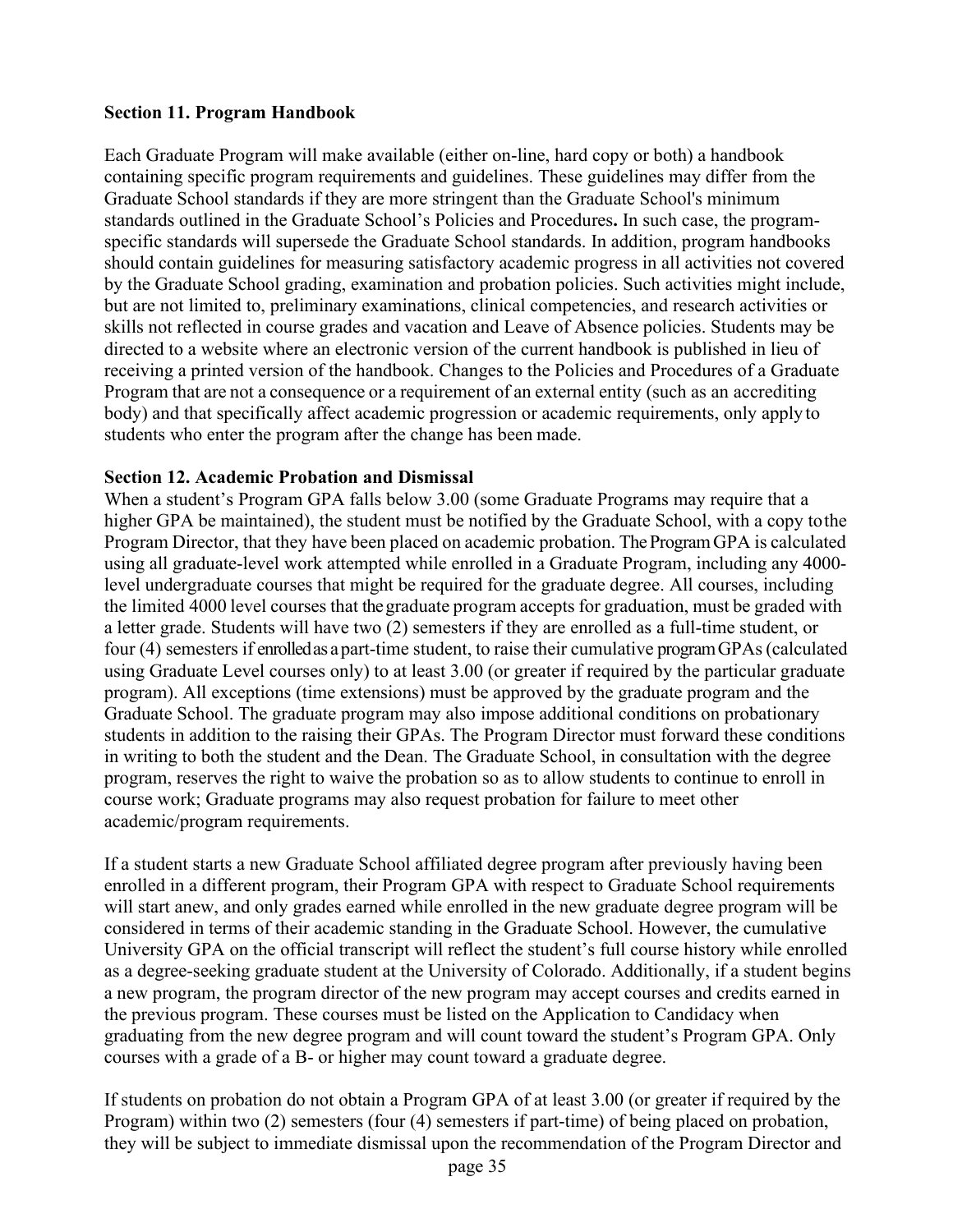#### <span id="page-34-0"></span>**Section 11. Program Handbook**

Each Graduate Program will make available (either on-line, hard copy or both) a handbook containing specific program requirements and guidelines. These guidelines may differ from the Graduate School standards if they are more stringent than the Graduate School's minimum standards outlined in the Graduate School's Policies and Procedures**.** In such case, the programspecific standards will supersede the Graduate School standards. In addition, program handbooks should contain guidelines for measuring satisfactory academic progress in all activities not covered by the Graduate School grading, examination and probation policies. Such activities might include, but are not limited to, preliminary examinations, clinical competencies, and research activities or skills not reflected in course grades and vacation and Leave of Absence policies. Students may be directed to a website where an electronic version of the current handbook is published in lieu of receiving a printed version of the handbook. Changes to the Policies and Procedures of a Graduate Program that are not a consequence or a requirement of an external entity (such as an accrediting body) and that specifically affect academic progression or academic requirements, only apply to students who enter the program after the change has been made.

#### <span id="page-34-1"></span>**Section 12. Academic Probation and Dismissal**

When a student's Program GPA falls below 3.00 (some Graduate Programs may require that a higher GPA be maintained), the student must be notified by the Graduate School, with a copy tothe Program Director, that they have been placed on academic probation. The Program GPA is calculated using all graduate-level work attempted while enrolled in a Graduate Program, including any 4000 level undergraduate courses that might be required for the graduate degree. All courses, including the limited 4000 level courses that thegraduate program accepts for graduation, must be graded with a letter grade. Students will have two (2) semesters if they are enrolled as a full-time student, or four (4) semesters if enrolledas apart-time student, to raise their cumulative programGPAs(calculated using Graduate Level courses only) to at least 3.00 (or greater if required by the particular graduate program). All exceptions (time extensions) must be approved by the graduate program and the Graduate School. The graduate program may also impose additional conditions on probationary students in addition to the raising their GPAs. The Program Director must forward these conditions in writing to both the student and the Dean. The Graduate School, in consultation with the degree program, reserves the right to waive the probation so as to allow students to continue to enroll in course work; Graduate programs may also request probation for failure to meet other academic/program requirements.

If a student starts a new Graduate School affiliated degree program after previously having been enrolled in a different program, their Program GPA with respect to Graduate School requirements will start anew, and only grades earned while enrolled in the new graduate degree program will be considered in terms of their academic standing in the Graduate School. However, the cumulative University GPA on the official transcript will reflect the student's full course history while enrolled as a degree-seeking graduate student at the University of Colorado. Additionally, if a student begins a new program, the program director of the new program may accept courses and credits earned in the previous program. These courses must be listed on the Application to Candidacy when graduating from the new degree program and will count toward the student's Program GPA. Only courses with a grade of a B- or higher may count toward a graduate degree.

If students on probation do not obtain a Program GPA of at least 3.00 (or greater if required by the Program) within two (2) semesters (four (4) semesters if part-time) of being placed on probation, they will be subject to immediate dismissal upon the recommendation of the Program Director and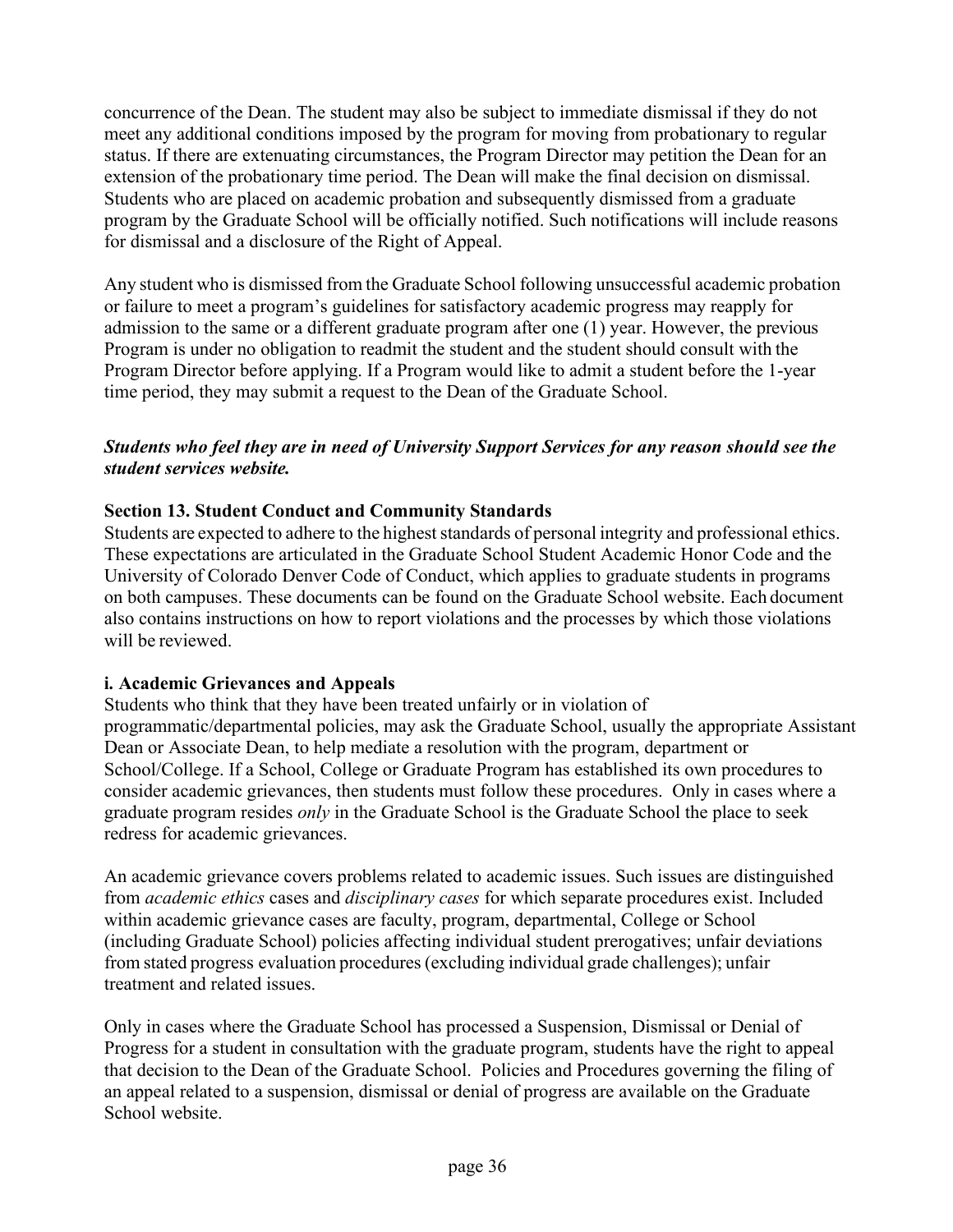concurrence of the Dean. The student may also be subject to immediate dismissal if they do not meet any additional conditions imposed by the program for moving from probationary to regular status. If there are extenuating circumstances, the Program Director may petition the Dean for an extension of the probationary time period. The Dean will make the final decision on dismissal. Students who are placed on academic probation and subsequently dismissed from a graduate program by the Graduate School will be officially notified. Such notifications will include reasons for dismissal and a disclosure of the Right of Appeal.

Any student who is dismissed from the Graduate School following unsuccessful academic probation or failure to meet a program's guidelines for satisfactory academic progress may reapply for admission to the same or a different graduate program after one (1) year. However, the previous Program is under no obligation to readmit the student and the student should consult with the Program Director before applying. If a Program would like to admit a student before the 1-year time period, they may submit a request to the Dean of the Graduate School.

## *Students who feel they are in need of University Support Services for any reason should see the student services website.*

## <span id="page-35-0"></span>**Section 13. Student Conduct and Community Standards**

Students are expected to adhere to the highest standards of personal integrity and professional ethics. These expectations are articulated in the Graduate School Student Academic Honor Code and the University of Colorado Denver Code of Conduct, which applies to graduate students in programs on both campuses. These documents can be found on the Graduate School website. Each document also contains instructions on how to report violations and the processes by which those violations will be reviewed.

#### <span id="page-35-1"></span>**i. Academic Grievances and Appeals**

Students who think that they have been treated unfairly or in violation of programmatic/departmental policies, may ask the Graduate School, usually the appropriate Assistant Dean or Associate Dean, to help mediate a resolution with the program, department or School/College. If a School, College or Graduate Program has established its own procedures to consider academic grievances, then students must follow these procedures. Only in cases where a graduate program resides *only* in the Graduate School is the Graduate School the place to seek redress for academic grievances.

An academic grievance covers problems related to academic issues. Such issues are distinguished from *academic ethics* cases and *disciplinary cases* for which separate procedures exist. Included within academic grievance cases are faculty, program, departmental, College or School (including Graduate School) policies affecting individual student prerogatives; unfair deviations from stated progress evaluation procedures(excluding individual grade challenges); unfair treatment and related issues.

Only in cases where the Graduate School has processed a Suspension, Dismissal or Denial of Progress for a student in consultation with the graduate program, students have the right to appeal that decision to the Dean of the Graduate School. Policies and Procedures governing the filing of an appeal related to a suspension, dismissal or denial of progress are available on the Graduate School website.